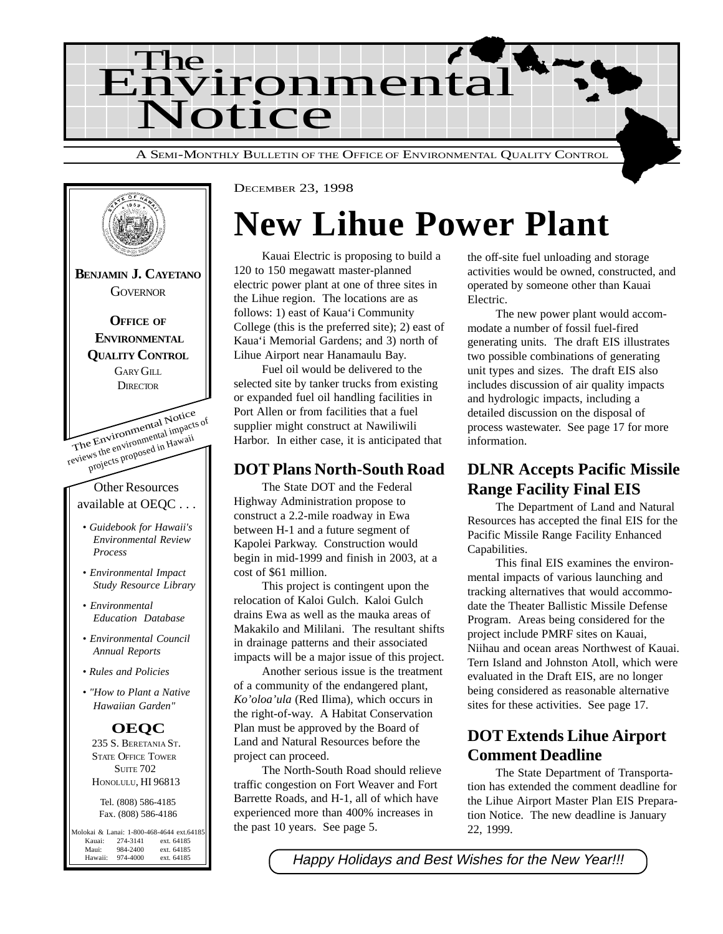



DECEMBER 23, 1998

# **New Lihue Power Plant**

Kauai Electric is proposing to build a 120 to 150 megawatt master-planned electric power plant at one of three sites in the Lihue region. The locations are as follows: 1) east of Kaua'i Community College (this is the preferred site); 2) east of Kaua'i Memorial Gardens; and 3) north of Lihue Airport near Hanamaulu Bay.

Fuel oil would be delivered to the selected site by tanker trucks from existing or expanded fuel oil handling facilities in Port Allen or from facilities that a fuel supplier might construct at Nawiliwili Harbor. In either case, it is anticipated that

#### **DOT Plans North-South Road**

The State DOT and the Federal Highway Administration propose to construct a 2.2-mile roadway in Ewa between H-1 and a future segment of Kapolei Parkway. Construction would begin in mid-1999 and finish in 2003, at a cost of \$61 million.

This project is contingent upon the relocation of Kaloi Gulch. Kaloi Gulch drains Ewa as well as the mauka areas of Makakilo and Mililani. The resultant shifts in drainage patterns and their associated impacts will be a major issue of this project.

Another serious issue is the treatment of a community of the endangered plant, *Ko'oloa'ula* (Red Ilima), which occurs in the right-of-way. A Habitat Conservation Plan must be approved by the Board of Land and Natural Resources before the project can proceed.

The North-South Road should relieve traffic congestion on Fort Weaver and Fort Barrette Roads, and H-1, all of which have experienced more than 400% increases in the past 10 years. See page 5.

the off-site fuel unloading and storage activities would be owned, constructed, and operated by someone other than Kauai Electric.

The new power plant would accommodate a number of fossil fuel-fired generating units. The draft EIS illustrates two possible combinations of generating unit types and sizes. The draft EIS also includes discussion of air quality impacts and hydrologic impacts, including a detailed discussion on the disposal of process wastewater. See page 17 for more information.

## **DLNR Accepts Pacific Missile Range Facility Final EIS**

The Department of Land and Natural Resources has accepted the final EIS for the Pacific Missile Range Facility Enhanced Capabilities.

This final EIS examines the environmental impacts of various launching and tracking alternatives that would accommodate the Theater Ballistic Missile Defense Program. Areas being considered for the project include PMRF sites on Kauai, Niihau and ocean areas Northwest of Kauai. Tern Island and Johnston Atoll, which were evaluated in the Draft EIS, are no longer being considered as reasonable alternative sites for these activities. See page 17.

## **DOT Extends Lihue Airport Comment Deadline**

The State Department of Transportation has extended the comment deadline for the Lihue Airport Master Plan EIS Preparation Notice. The new deadline is January 22, 1999.

Happy Holidays and Best Wishes for the New Year!!!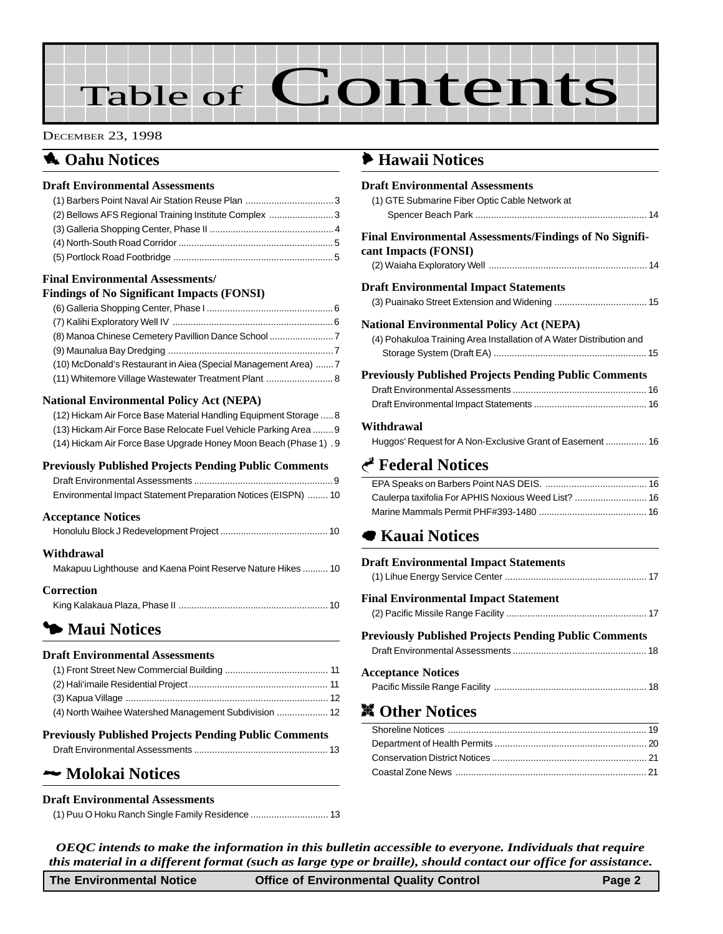# Table of Contents

#### DECEMBER 23, 1998

### **1** Oahu Notices

#### **Draft Environmental Assessments**

| (2) Bellows AFS Regional Training Institute Complex 3 |  |
|-------------------------------------------------------|--|
|                                                       |  |
|                                                       |  |
|                                                       |  |

#### **Final Environmental Assessments/**

#### **Findings of No Significant Impacts (FONSI)**

| (8) Manoa Chinese Cemetery Pavillion Dance School               |  |
|-----------------------------------------------------------------|--|
|                                                                 |  |
| (10) McDonald's Restaurant in Aiea (Special Management Area)  7 |  |
|                                                                 |  |

#### **National Environmental Policy Act (NEPA)**

| (12) Hickam Air Force Base Material Handling Equipment Storage  8 |
|-------------------------------------------------------------------|
| (13) Hickam Air Force Base Relocate Fuel Vehicle Parking Area  9  |
| (14) Hickam Air Force Base Upgrade Honey Moon Beach (Phase 1) . 9 |

#### **Previously Published Projects Pending Public Comments**

| Environmental Impact Statement Preparation Notices (EISPN)  10 |  |
|----------------------------------------------------------------|--|

#### **Acceptance Notices**

#### **Withdrawal**

| Makapuu Lighthouse and Kaena Point Reserve Nature Hikes  10 |
|-------------------------------------------------------------|
|                                                             |

**Correction**

#### 3 **Maui Notices**

#### **Draft Environmental Assessments**

| <b>Previously Published Projects Pending Public Comments</b> |  |
|--------------------------------------------------------------|--|
| (4) North Waihee Watershed Management Subdivision  12        |  |
|                                                              |  |
|                                                              |  |
|                                                              |  |

#### 2 **[Molokai Notices](#page-12-0)**

#### **Draft Environmental Assessments**

[\(1\) Puu O Hoku Ranch Single Family Residence .............................. 13](#page-12-0)

#### 6 **Hawaii Notices**

| <b>Draft Environmental Assessments</b><br>(1) GTE Submarine Fiber Optic Cable Network at                                |  |
|-------------------------------------------------------------------------------------------------------------------------|--|
|                                                                                                                         |  |
| <b>Final Environmental Assessments/Findings of No Signifi-</b><br>cant Impacts (FONSI)                                  |  |
| Draft Environmental Impact Statements                                                                                   |  |
| <b>National Environmental Policy Act (NEPA)</b><br>(4) Pohakuloa Training Area Installation of A Water Distribution and |  |
| <b>Previously Published Projects Pending Public Comments</b>                                                            |  |
| Withdrawal<br>Huggos' Request for A Non-Exclusive Grant of Easement  16                                                 |  |
| <b>Federal Notices</b>                                                                                                  |  |
| Caulerpa taxifolia For APHIS Noxious Weed List?  16<br><b>■ Kauai Notices</b>                                           |  |
| <b>Draft Environmental Impact Statements</b>                                                                            |  |
| Final Environmental Impact Statement                                                                                    |  |
| <b>Previously Published Projects Pending Public Comments</b>                                                            |  |
|                                                                                                                         |  |

| <b>Draft Environmental Impact Statements</b>                 |  |
|--------------------------------------------------------------|--|
|                                                              |  |
| <b>Final Environmental Impact Statement</b>                  |  |
|                                                              |  |
| <b>Previously Published Projects Pending Public Comments</b> |  |
|                                                              |  |
| <b>Acceptance Notices</b>                                    |  |
|                                                              |  |

## ! **Other Notices**

| ,我们也不会不会不会。""我们的,我们也不会不会不会。""我们的,我们也不会不会不会不会不会。""我们的,我们也不会不会不会不会。""我们的,我们也不会不会不会 |  |
|----------------------------------------------------------------------------------|--|
|                                                                                  |  |
|                                                                                  |  |
|                                                                                  |  |
|                                                                                  |  |
|                                                                                  |  |
|                                                                                  |  |
|                                                                                  |  |
|                                                                                  |  |

*OEQC intends to make the information in this bulletin accessible to everyone. Individuals that require this material in a different format (such as large type or braille), should contact our office for assistance.*

**The Environmental Notice Office of Environmental Quality Control Page 2**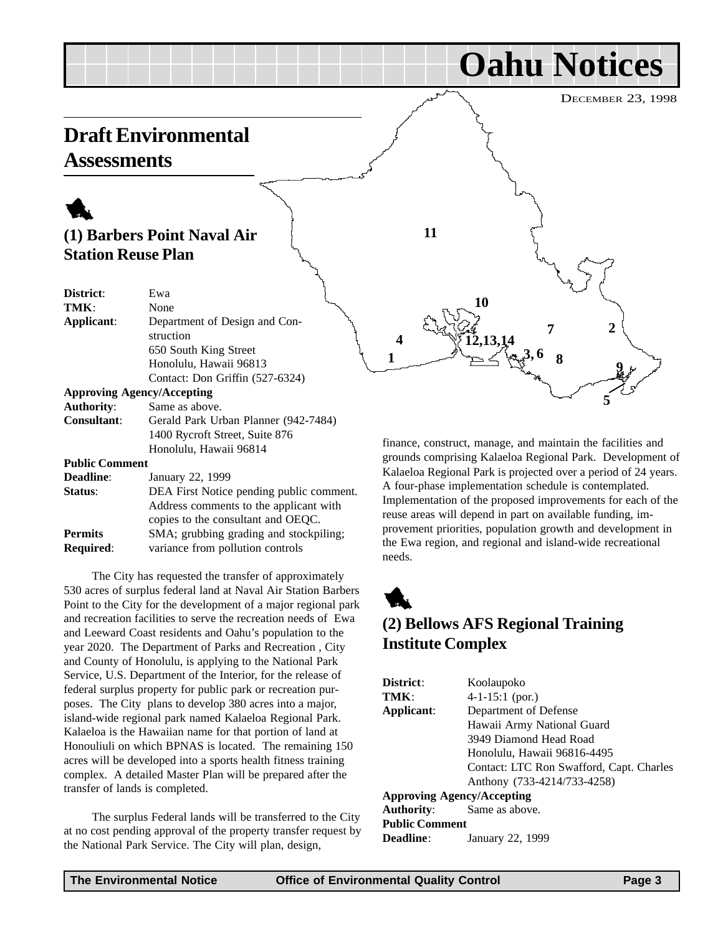<span id="page-2-0"></span>

**Public Comment**

| Deadline:        | January 22, 1999                         |
|------------------|------------------------------------------|
| Status:          | DEA First Notice pending public comment. |
|                  | Address comments to the applicant with   |
|                  | copies to the consultant and OEQC.       |
| <b>Permits</b>   | SMA; grubbing grading and stockpiling;   |
| <b>Required:</b> | variance from pollution controls         |

Honolulu, Hawaii 96814

The City has requested the transfer of approximately 530 acres of surplus federal land at Naval Air Station Barbers Point to the City for the development of a major regional park and recreation facilities to serve the recreation needs of Ewa and Leeward Coast residents and Oahu's population to the year 2020. The Department of Parks and Recreation , City and County of Honolulu, is applying to the National Park Service, U.S. Department of the Interior, for the release of federal surplus property for public park or recreation purposes. The City plans to develop 380 acres into a major, island-wide regional park named Kalaeloa Regional Park. Kalaeloa is the Hawaiian name for that portion of land at Honouliuli on which BPNAS is located. The remaining 150 acres will be developed into a sports health fitness training complex. A detailed Master Plan will be prepared after the transfer of lands is completed.

The surplus Federal lands will be transferred to the City at no cost pending approval of the property transfer request by the National Park Service. The City will plan, design,

finance, construct, manage, and maintain the facilities and grounds comprising Kalaeloa Regional Park. Development of Kalaeloa Regional Park is projected over a period of 24 years. A four-phase implementation schedule is contemplated. Implementation of the proposed improvements for each of the reuse areas will depend in part on available funding, improvement priorities, population growth and development in the Ewa region, and regional and island-wide recreational needs.



## **(2) Bellows AFS Regional Training Institute Complex**

| District:                         | Koolaupoko                               |
|-----------------------------------|------------------------------------------|
| TMK:                              | $4-1-15:1$ (por.)                        |
| Applicant:                        | Department of Defense                    |
|                                   | Hawaii Army National Guard               |
|                                   | 3949 Diamond Head Road                   |
|                                   | Honolulu, Hawaii 96816-4495              |
|                                   | Contact: LTC Ron Swafford, Capt. Charles |
|                                   | Anthony (733-4214/733-4258)              |
| <b>Approving Agency/Accepting</b> |                                          |
| <b>Authority:</b>                 | Same as above.                           |
| <b>Public Comment</b>             |                                          |
| Deadline:                         | January 22, 1999                         |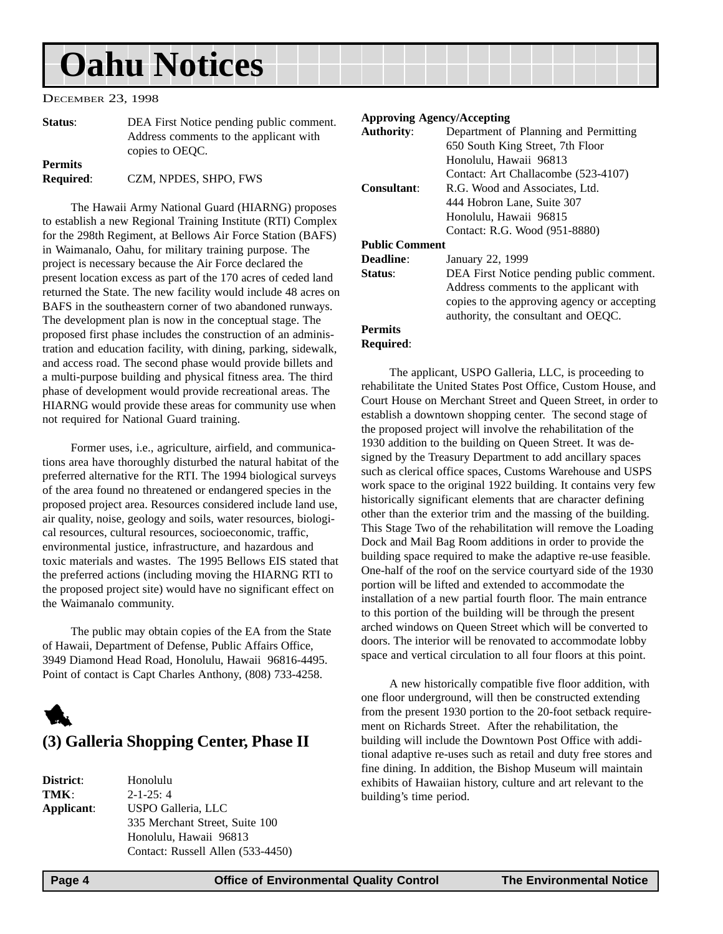<span id="page-3-0"></span>DECEMBER 23, 1998

| Status:          | DEA First Notice pending public comment. |
|------------------|------------------------------------------|
|                  | Address comments to the applicant with   |
|                  | copies to OEOC.                          |
| <b>Permits</b>   |                                          |
| <b>Required:</b> | CZM, NPDES, SHPO, FWS                    |

The Hawaii Army National Guard (HIARNG) proposes to establish a new Regional Training Institute (RTI) Complex for the 298th Regiment, at Bellows Air Force Station (BAFS) in Waimanalo, Oahu, for military training purpose. The project is necessary because the Air Force declared the present location excess as part of the 170 acres of ceded land returned the State. The new facility would include 48 acres on BAFS in the southeastern corner of two abandoned runways. The development plan is now in the conceptual stage. The proposed first phase includes the construction of an administration and education facility, with dining, parking, sidewalk, and access road. The second phase would provide billets and a multi-purpose building and physical fitness area. The third phase of development would provide recreational areas. The HIARNG would provide these areas for community use when not required for National Guard training.

Former uses, i.e., agriculture, airfield, and communications area have thoroughly disturbed the natural habitat of the preferred alternative for the RTI. The 1994 biological surveys of the area found no threatened or endangered species in the proposed project area. Resources considered include land use, air quality, noise, geology and soils, water resources, biological resources, cultural resources, socioeconomic, traffic, environmental justice, infrastructure, and hazardous and toxic materials and wastes. The 1995 Bellows EIS stated that the preferred actions (including moving the HIARNG RTI to the proposed project site) would have no significant effect on the Waimanalo community.

The public may obtain copies of the EA from the State of Hawaii, Department of Defense, Public Affairs Office, 3949 Diamond Head Road, Honolulu, Hawaii 96816-4495. Point of contact is Capt Charles Anthony, (808) 733-4258.



#### **(3) Galleria Shopping Center, Phase II**

**District**: Honolulu **TMK**: 2-1-25: 4 **Applicant**: USPO Galleria, LLC 335 Merchant Street, Suite 100 Honolulu, Hawaii 96813 Contact: Russell Allen (533-4450)

#### **Approving Agency/Accepting**

| <b>Authority:</b>     | Department of Planning and Permitting       |
|-----------------------|---------------------------------------------|
|                       | 650 South King Street, 7th Floor            |
|                       | Honolulu, Hawaii 96813                      |
|                       | Contact: Art Challacombe (523-4107)         |
| Consultant:           | R.G. Wood and Associates, Ltd.              |
|                       | 444 Hobron Lane, Suite 307                  |
|                       | Honolulu, Hawaii 96815                      |
|                       | Contact: R.G. Wood (951-8880)               |
| <b>Public Comment</b> |                                             |
| Deadline:             | January 22, 1999                            |
| Status:               | DEA First Notice pending public comment.    |
|                       | Address comments to the applicant with      |
|                       | copies to the approving agency or accepting |
|                       | authority, the consultant and OEQC.         |
| <b>Permits</b>        |                                             |

### **Required**:

The applicant, USPO Galleria, LLC, is proceeding to rehabilitate the United States Post Office, Custom House, and Court House on Merchant Street and Queen Street, in order to establish a downtown shopping center. The second stage of the proposed project will involve the rehabilitation of the 1930 addition to the building on Queen Street. It was designed by the Treasury Department to add ancillary spaces such as clerical office spaces, Customs Warehouse and USPS work space to the original 1922 building. It contains very few historically significant elements that are character defining other than the exterior trim and the massing of the building. This Stage Two of the rehabilitation will remove the Loading Dock and Mail Bag Room additions in order to provide the building space required to make the adaptive re-use feasible. One-half of the roof on the service courtyard side of the 1930 portion will be lifted and extended to accommodate the installation of a new partial fourth floor. The main entrance to this portion of the building will be through the present arched windows on Queen Street which will be converted to doors. The interior will be renovated to accommodate lobby space and vertical circulation to all four floors at this point.

A new historically compatible five floor addition, with one floor underground, will then be constructed extending from the present 1930 portion to the 20-foot setback requirement on Richards Street. After the rehabilitation, the building will include the Downtown Post Office with additional adaptive re-uses such as retail and duty free stores and fine dining. In addition, the Bishop Museum will maintain exhibits of Hawaiian history, culture and art relevant to the building's time period.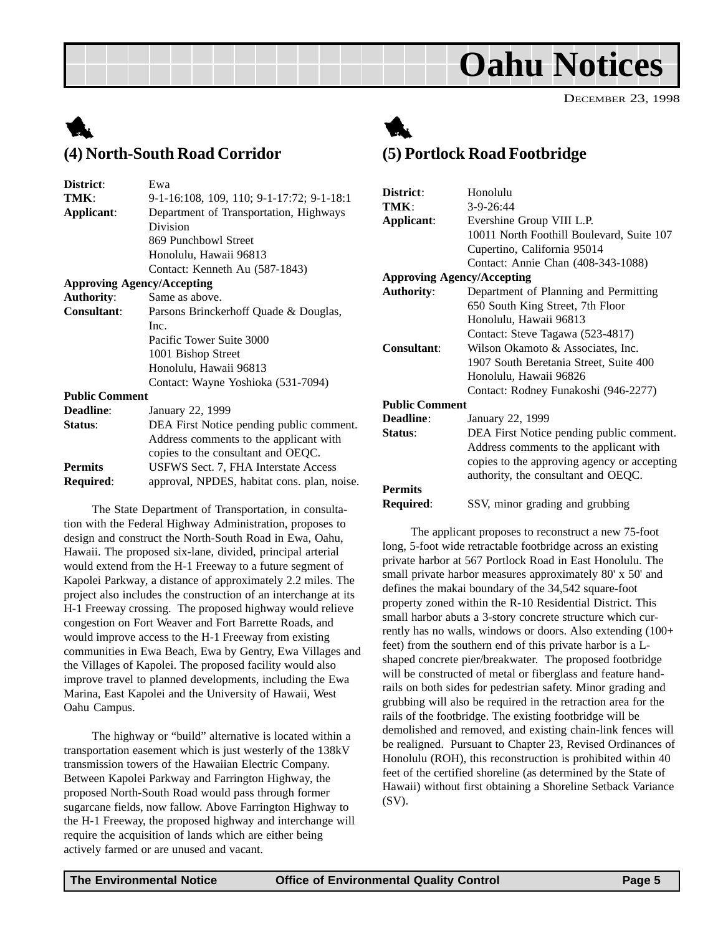DECEMBER 23, 1998

## <span id="page-4-0"></span>1 **(4) North-South Road Corridor**



The State Department of Transportation, in consultation with the Federal Highway Administration, proposes to design and construct the North-South Road in Ewa, Oahu, Hawaii. The proposed six-lane, divided, principal arterial would extend from the H-1 Freeway to a future segment of Kapolei Parkway, a distance of approximately 2.2 miles. The project also includes the construction of an interchange at its H-1 Freeway crossing. The proposed highway would relieve congestion on Fort Weaver and Fort Barrette Roads, and would improve access to the H-1 Freeway from existing communities in Ewa Beach, Ewa by Gentry, Ewa Villages and the Villages of Kapolei. The proposed facility would also improve travel to planned developments, including the Ewa Marina, East Kapolei and the University of Hawaii, West Oahu Campus.

The highway or "build" alternative is located within a transportation easement which is just westerly of the 138kV transmission towers of the Hawaiian Electric Company. Between Kapolei Parkway and Farrington Highway, the proposed North-South Road would pass through former sugarcane fields, now fallow. Above Farrington Highway to the H-1 Freeway, the proposed highway and interchange will require the acquisition of lands which are either being actively farmed or are unused and vacant.



### **(5) Portlock Road Footbridge**

| District:                         | Honolulu                                    |
|-----------------------------------|---------------------------------------------|
|                                   |                                             |
| TMK:                              | 3-9-26:44                                   |
| Applicant:                        | Evershine Group VIII L.P.                   |
|                                   | 10011 North Foothill Boulevard, Suite 107   |
|                                   | Cupertino, California 95014                 |
|                                   | Contact: Annie Chan (408-343-1088)          |
| <b>Approving Agency/Accepting</b> |                                             |
| <b>Authority:</b>                 | Department of Planning and Permitting       |
|                                   | 650 South King Street, 7th Floor            |
|                                   | Honolulu, Hawaii 96813                      |
|                                   | Contact: Steve Tagawa (523-4817)            |
| <b>Consultant:</b>                | Wilson Okamoto & Associates, Inc.           |
|                                   | 1907 South Beretania Street, Suite 400      |
|                                   | Honolulu, Hawaii 96826                      |
|                                   | Contact: Rodney Funakoshi (946-2277)        |
| <b>Public Comment</b>             |                                             |
| <b>Deadline:</b>                  | January 22, 1999                            |
| Status:                           | DEA First Notice pending public comment.    |
|                                   | Address comments to the applicant with      |
|                                   | copies to the approving agency or accepting |
|                                   | authority, the consultant and OEQC.         |
| <b>Permits</b>                    |                                             |
| <b>Required:</b>                  | SSV, minor grading and grubbing             |

The applicant proposes to reconstruct a new 75-foot long, 5-foot wide retractable footbridge across an existing private harbor at 567 Portlock Road in East Honolulu. The small private harbor measures approximately 80' x 50' and defines the makai boundary of the 34,542 square-foot property zoned within the R-10 Residential District. This small harbor abuts a 3-story concrete structure which currently has no walls, windows or doors. Also extending (100+ feet) from the southern end of this private harbor is a Lshaped concrete pier/breakwater. The proposed footbridge will be constructed of metal or fiberglass and feature handrails on both sides for pedestrian safety. Minor grading and grubbing will also be required in the retraction area for the rails of the footbridge. The existing footbridge will be demolished and removed, and existing chain-link fences will be realigned. Pursuant to Chapter 23, Revised Ordinances of Honolulu (ROH), this reconstruction is prohibited within 40 feet of the certified shoreline (as determined by the State of Hawaii) without first obtaining a Shoreline Setback Variance (SV).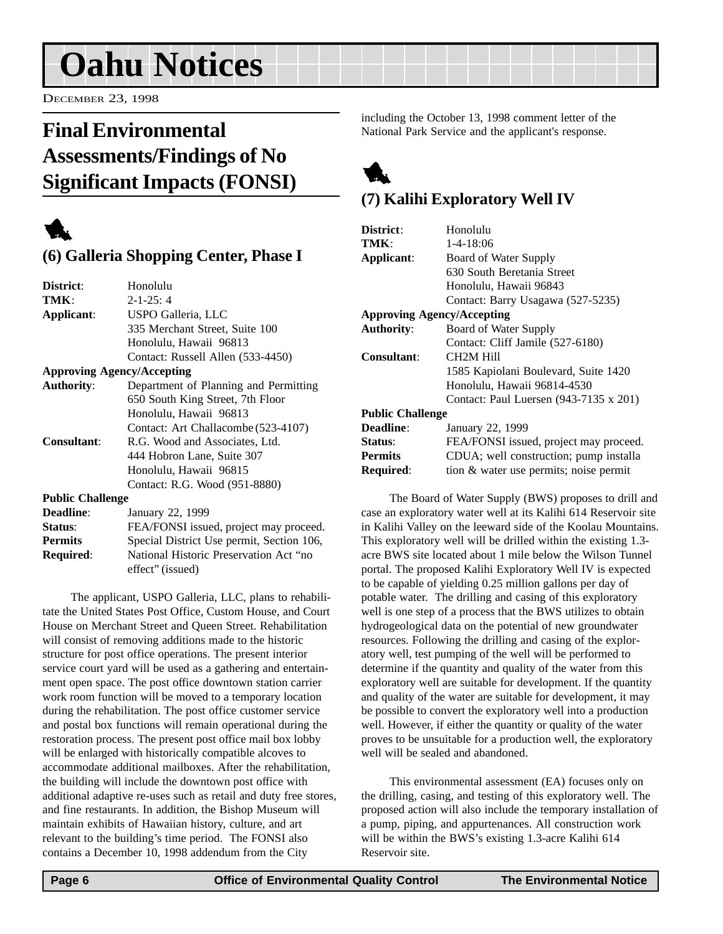<span id="page-5-0"></span>DECEMBER 23, 1998

## **Final Environmental Assessments/Findings of No Significant Impacts (FONSI)**

1

### **(6) Galleria Shopping Center, Phase I**

| District:               | Honolulu                                  |
|-------------------------|-------------------------------------------|
|                         |                                           |
| TMK:                    | $2 - 1 - 25:4$                            |
| Applicant:              | USPO Galleria, LLC                        |
|                         | 335 Merchant Street, Suite 100            |
|                         | Honolulu, Hawaii 96813                    |
|                         | Contact: Russell Allen (533-4450)         |
|                         | <b>Approving Agency/Accepting</b>         |
| <b>Authority:</b>       | Department of Planning and Permitting     |
|                         | 650 South King Street, 7th Floor          |
|                         | Honolulu, Hawaii 96813                    |
|                         | Contact: Art Challacombe (523-4107)       |
| <b>Consultant:</b>      | R.G. Wood and Associates, Ltd.            |
|                         | 444 Hobron Lane, Suite 307                |
|                         | Honolulu, Hawaii 96815                    |
|                         | Contact: R.G. Wood (951-8880)             |
| <b>Public Challenge</b> |                                           |
| <b>Deadline:</b>        | January 22, 1999                          |
| Status:                 | FEA/FONSI issued, project may proceed.    |
| <b>Permits</b>          | Special District Use permit, Section 106, |

**Required**: National Historic Preservation Act "no

effect" (issued) The applicant, USPO Galleria, LLC, plans to rehabilitate the United States Post Office, Custom House, and Court House on Merchant Street and Queen Street. Rehabilitation will consist of removing additions made to the historic structure for post office operations. The present interior service court yard will be used as a gathering and entertainment open space. The post office downtown station carrier work room function will be moved to a temporary location during the rehabilitation. The post office customer service and postal box functions will remain operational during the restoration process. The present post office mail box lobby will be enlarged with historically compatible alcoves to accommodate additional mailboxes. After the rehabilitation, the building will include the downtown post office with additional adaptive re-uses such as retail and duty free stores, and fine restaurants. In addition, the Bishop Museum will maintain exhibits of Hawaiian history, culture, and art relevant to the building's time period. The FONSI also contains a December 10, 1998 addendum from the City

including the October 13, 1998 comment letter of the National Park Service and the applicant's response.



## **(7) Kalihi Exploratory Well IV**

| District:                         | Honolulu                               |
|-----------------------------------|----------------------------------------|
| TMK:                              | $1 - 4 - 18:06$                        |
| Applicant:                        | Board of Water Supply                  |
|                                   | 630 South Beretania Street             |
|                                   | Honolulu, Hawaii 96843                 |
|                                   | Contact: Barry Usagawa (527-5235)      |
| <b>Approving Agency/Accepting</b> |                                        |
| <b>Authority:</b>                 | Board of Water Supply                  |
|                                   | Contact: Cliff Jamile (527-6180)       |
| Consultant:                       | CH <sub>2</sub> M Hill                 |
|                                   | 1585 Kapiolani Boulevard, Suite 1420   |
|                                   | Honolulu, Hawaii 96814-4530            |
|                                   | Contact: Paul Luersen (943-7135 x 201) |
| <b>Public Challenge</b>           |                                        |
| Deadline:                         | January 22, 1999                       |
| <b>Status:</b>                    | FEA/FONSI issued, project may proceed. |
| <b>Permits</b>                    | CDUA; well construction; pump installa |
| Required:                         | tion & water use permits; noise permit |
|                                   |                                        |

The Board of Water Supply (BWS) proposes to drill and case an exploratory water well at its Kalihi 614 Reservoir site in Kalihi Valley on the leeward side of the Koolau Mountains. This exploratory well will be drilled within the existing 1.3 acre BWS site located about 1 mile below the Wilson Tunnel portal. The proposed Kalihi Exploratory Well IV is expected to be capable of yielding 0.25 million gallons per day of potable water. The drilling and casing of this exploratory well is one step of a process that the BWS utilizes to obtain hydrogeological data on the potential of new groundwater resources. Following the drilling and casing of the exploratory well, test pumping of the well will be performed to determine if the quantity and quality of the water from this exploratory well are suitable for development. If the quantity and quality of the water are suitable for development, it may be possible to convert the exploratory well into a production well. However, if either the quantity or quality of the water proves to be unsuitable for a production well, the exploratory well will be sealed and abandoned.

This environmental assessment (EA) focuses only on the drilling, casing, and testing of this exploratory well. The proposed action will also include the temporary installation of a pump, piping, and appurtenances. All construction work will be within the BWS's existing 1.3-acre Kalihi 614 Reservoir site.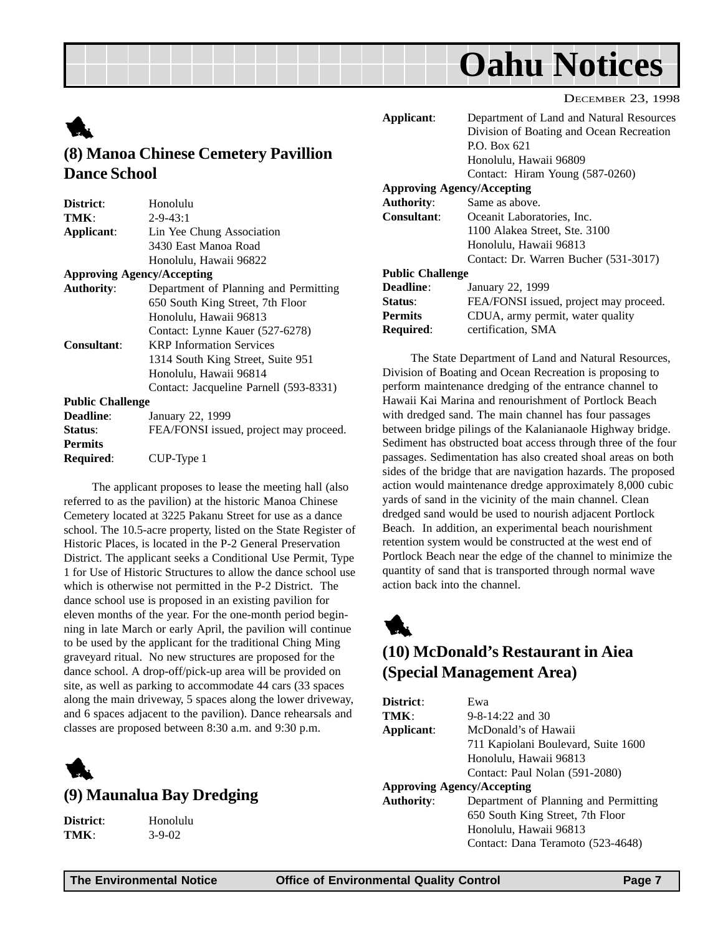DECEMBER 23, 1998

<span id="page-6-0"></span>

| <b>TAL</b>                           |  |
|--------------------------------------|--|
| (8) Manoa Chinese Cemetery Pavillion |  |
| <b>Dance School</b>                  |  |

| District:                         | Honolulu                               |
|-----------------------------------|----------------------------------------|
| TMK:                              | $2 - 9 - 43:1$                         |
| Applicant:                        | Lin Yee Chung Association              |
|                                   | 3430 East Manoa Road                   |
|                                   | Honolulu, Hawaii 96822                 |
| <b>Approving Agency/Accepting</b> |                                        |
| <b>Authority:</b>                 | Department of Planning and Permitting  |
|                                   | 650 South King Street, 7th Floor       |
|                                   | Honolulu, Hawaii 96813                 |
|                                   | Contact: Lynne Kauer (527-6278)        |
| <b>Consultant:</b>                | <b>KRP</b> Information Services        |
|                                   | 1314 South King Street, Suite 951      |
|                                   | Honolulu, Hawaii 96814                 |
|                                   | Contact: Jacqueline Parnell (593-8331) |
| <b>Public Challenge</b>           |                                        |
| <b>Deadline:</b>                  | January 22, 1999                       |
| Status:                           | FEA/FONSI issued, project may proceed. |
| <b>Permits</b>                    |                                        |
| Required:                         | CUP-Type 1                             |

The applicant proposes to lease the meeting hall (also referred to as the pavilion) at the historic Manoa Chinese Cemetery located at 3225 Pakanu Street for use as a dance school. The 10.5-acre property, listed on the State Register of Historic Places, is located in the P-2 General Preservation District. The applicant seeks a Conditional Use Permit, Type 1 for Use of Historic Structures to allow the dance school use which is otherwise not permitted in the P-2 District. The dance school use is proposed in an existing pavilion for eleven months of the year. For the one-month period beginning in late March or early April, the pavilion will continue to be used by the applicant for the traditional Ching Ming graveyard ritual. No new structures are proposed for the dance school. A drop-off/pick-up area will be provided on site, as well as parking to accommodate 44 cars (33 spaces along the main driveway, 5 spaces along the lower driveway, and 6 spaces adjacent to the pavilion). Dance rehearsals and classes are proposed between 8:30 a.m. and 9:30 p.m.



### **(9) Maunalua Bay Dredging**

**District**: Honolulu **TMK**: 3-9-02

| Applicant:              | Department of Land and Natural Resources |
|-------------------------|------------------------------------------|
|                         | Division of Boating and Ocean Recreation |
|                         | P.O. Box 621                             |
|                         | Honolulu, Hawaii 96809                   |
|                         | Contact: Hiram Young (587-0260)          |
|                         | <b>Approving Agency/Accepting</b>        |
| <b>Authority:</b>       | Same as above.                           |
| Consultant:             | Oceanit Laboratories, Inc.               |
|                         | 1100 Alakea Street, Ste. 3100            |
|                         | Honolulu, Hawaii 96813                   |
|                         | Contact: Dr. Warren Bucher (531-3017)    |
| <b>Public Challenge</b> |                                          |
| <b>Deadline:</b>        | January 22, 1999                         |
| <b>Status:</b>          | FEA/FONSI issued, project may proceed.   |
| <b>Permits</b>          | CDUA, army permit, water quality         |
| Required:               | certification, SMA                       |
|                         |                                          |

The State Department of Land and Natural Resources, Division of Boating and Ocean Recreation is proposing to perform maintenance dredging of the entrance channel to Hawaii Kai Marina and renourishment of Portlock Beach with dredged sand. The main channel has four passages between bridge pilings of the Kalanianaole Highway bridge. Sediment has obstructed boat access through three of the four passages. Sedimentation has also created shoal areas on both sides of the bridge that are navigation hazards. The proposed action would maintenance dredge approximately 8,000 cubic yards of sand in the vicinity of the main channel. Clean dredged sand would be used to nourish adjacent Portlock Beach. In addition, an experimental beach nourishment retention system would be constructed at the west end of Portlock Beach near the edge of the channel to minimize the quantity of sand that is transported through normal wave action back into the channel.

## 1 **(10) McDonald's Restaurant in Aiea (Special Management Area)**

| District:                         | Ewa                                   |
|-----------------------------------|---------------------------------------|
| TMK:                              | $9 - 8 - 14:22$ and 30                |
| Applicant:                        | McDonald's of Hawaii                  |
|                                   | 711 Kapiolani Boulevard, Suite 1600   |
|                                   | Honolulu, Hawaii 96813                |
|                                   | Contact: Paul Nolan (591-2080)        |
| <b>Approving Agency/Accepting</b> |                                       |
| <b>Authority:</b>                 | Department of Planning and Permitting |
|                                   | 650 South King Street, 7th Floor      |
|                                   | Honolulu, Hawaii 96813                |
|                                   | Contact: Dana Teramoto (523-4648)     |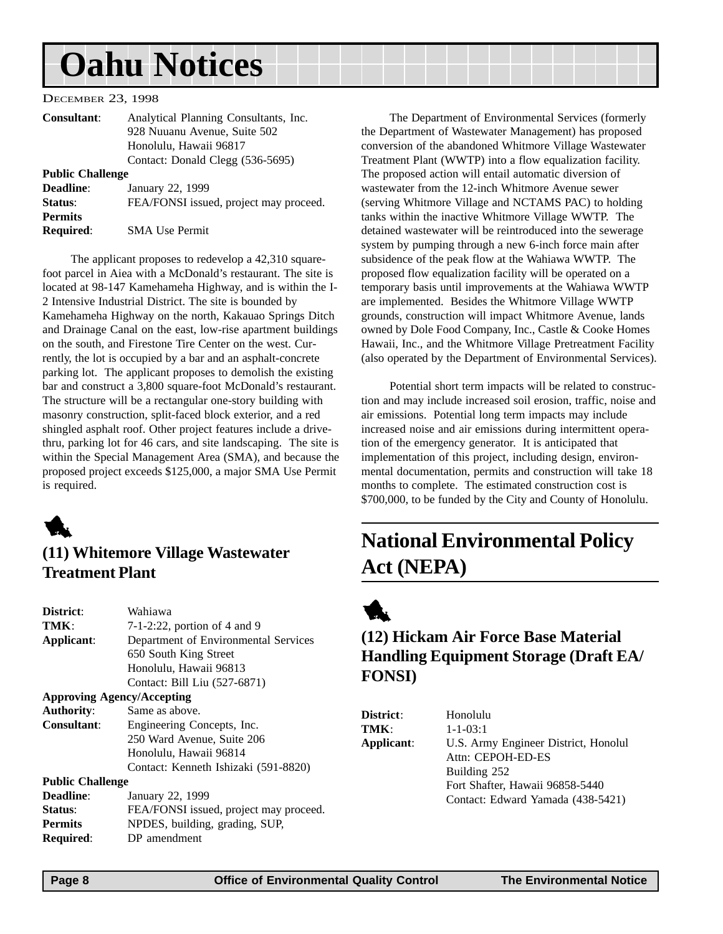#### <span id="page-7-0"></span>DECEMBER 23, 1998

**Required**: SMA Use Permit

| <b>Consultant:</b>      | Analytical Planning Consultants, Inc.  |
|-------------------------|----------------------------------------|
|                         | 928 Nuuanu Avenue, Suite 502           |
|                         | Honolulu, Hawaii 96817                 |
|                         | Contact: Donald Clegg (536-5695)       |
| <b>Public Challenge</b> |                                        |
| <b>Deadline:</b>        | January 22, 1999                       |
| Status:                 | FEA/FONSI issued, project may proceed. |
| <b>Permits</b>          |                                        |

The applicant proposes to redevelop a 42,310 squarefoot parcel in Aiea with a McDonald's restaurant. The site is located at 98-147 Kamehameha Highway, and is within the I-2 Intensive Industrial District. The site is bounded by Kamehameha Highway on the north, Kakauao Springs Ditch and Drainage Canal on the east, low-rise apartment buildings on the south, and Firestone Tire Center on the west. Currently, the lot is occupied by a bar and an asphalt-concrete parking lot. The applicant proposes to demolish the existing bar and construct a 3,800 square-foot McDonald's restaurant. The structure will be a rectangular one-story building with masonry construction, split-faced block exterior, and a red shingled asphalt roof. Other project features include a drivethru, parking lot for 46 cars, and site landscaping. The site is within the Special Management Area (SMA), and because the proposed project exceeds \$125,000, a major SMA Use Permit is required.



## **(11) Whitemore Village Wastewater Treatment Plant**

| District:               | Wahiawa                                |
|-------------------------|----------------------------------------|
| TMK:                    | $7-1-2:22$ , portion of 4 and 9        |
| Applicant:              | Department of Environmental Services   |
|                         | 650 South King Street                  |
|                         | Honolulu, Hawaii 96813                 |
|                         | Contact: Bill Liu (527-6871)           |
|                         | <b>Approving Agency/Accepting</b>      |
| <b>Authority:</b>       | Same as above.                         |
| <b>Consultant:</b>      | Engineering Concepts, Inc.             |
|                         | 250 Ward Avenue, Suite 206             |
|                         | Honolulu, Hawaii 96814                 |
|                         | Contact: Kenneth Ishizaki (591-8820)   |
| <b>Public Challenge</b> |                                        |
| Deadline:               | January 22, 1999                       |
| Status:                 | FEA/FONSI issued, project may proceed. |
| <b>Permits</b>          | NPDES, building, grading, SUP,         |
| Required:               | DP amendment                           |

The Department of Environmental Services (formerly the Department of Wastewater Management) has proposed conversion of the abandoned Whitmore Village Wastewater Treatment Plant (WWTP) into a flow equalization facility. The proposed action will entail automatic diversion of wastewater from the 12-inch Whitmore Avenue sewer (serving Whitmore Village and NCTAMS PAC) to holding tanks within the inactive Whitmore Village WWTP. The detained wastewater will be reintroduced into the sewerage system by pumping through a new 6-inch force main after subsidence of the peak flow at the Wahiawa WWTP. The proposed flow equalization facility will be operated on a temporary basis until improvements at the Wahiawa WWTP are implemented. Besides the Whitmore Village WWTP grounds, construction will impact Whitmore Avenue, lands owned by Dole Food Company, Inc., Castle & Cooke Homes Hawaii, Inc., and the Whitmore Village Pretreatment Facility (also operated by the Department of Environmental Services).

Potential short term impacts will be related to construction and may include increased soil erosion, traffic, noise and air emissions. Potential long term impacts may include increased noise and air emissions during intermittent operation of the emergency generator. It is anticipated that implementation of this project, including design, environmental documentation, permits and construction will take 18 months to complete. The estimated construction cost is \$700,000, to be funded by the City and County of Honolulu.

## **National Environmental Policy Act (NEPA)**



## **(12) Hickam Air Force Base Material Handling Equipment Storage (Draft EA/ FONSI)**

| <b>District:</b> | Honolulu                             |
|------------------|--------------------------------------|
| TMK:             | $1 - 1 - 03:1$                       |
| Applicant:       | U.S. Army Engineer District, Honolul |
|                  | Attn: CEPOH-ED-ES                    |
|                  | Building 252                         |
|                  | Fort Shafter, Hawaii 96858-5440      |
|                  | Contact: Edward Yamada (438-5421)    |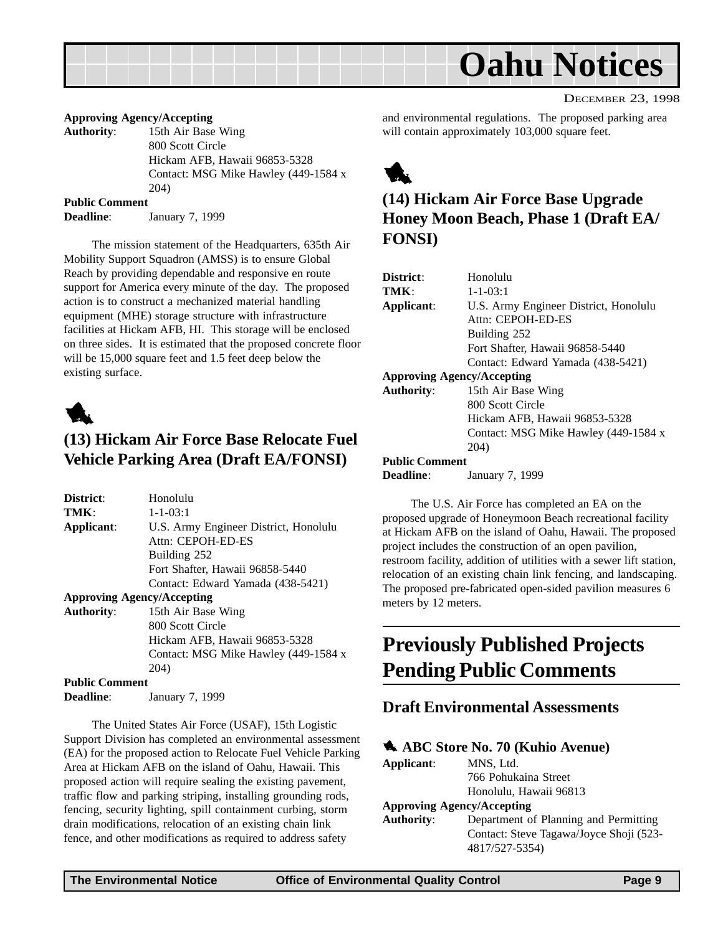<span id="page-8-0"></span>

#### **Approving Agency/Accepting**

**Authority**: 15th Air Base Wing 800 Scott Circle Hickam AFB, Hawaii 96853-5328 Contact: MSG Mike Hawley (449-1584 x 204)

#### **Public Comment**

**Deadline**: January 7, 1999

The mission statement of the Headquarters, 635th Air Mobility Support Squadron (AMSS) is to ensure Global Reach by providing dependable and responsive en route support for America every minute of the day. The proposed action is to construct a mechanized material handling equipment (MHE) storage structure with infrastructure facilities at Hickam AFB, HI. This storage will be enclosed on three sides. It is estimated that the proposed concrete floor will be 15,000 square feet and 1.5 feet deep below the existing surface.



#### **(13) Hickam Air Force Base Relocate Fuel Vehicle Parking Area (Draft EA/FONSI)**

| District:                         | Honolulu                              |
|-----------------------------------|---------------------------------------|
| TMK:                              | $1 - 1 - 03:1$                        |
| Applicant:                        | U.S. Army Engineer District, Honolulu |
|                                   | Attn: CEPOH-ED-ES                     |
|                                   | Building 252                          |
|                                   | Fort Shafter, Hawaii 96858-5440       |
|                                   | Contact: Edward Yamada (438-5421)     |
| <b>Approving Agency/Accepting</b> |                                       |
| <b>Authority:</b>                 | 15th Air Base Wing                    |
|                                   | 800 Scott Circle                      |
|                                   | Hickam AFB, Hawaii 96853-5328         |
|                                   | Contact: MSG Mike Hawley (449-1584 x  |
|                                   | 204)                                  |
| <b>Public Comment</b>             |                                       |
| Deadline:                         | January 7, 1999                       |

The United States Air Force (USAF), 15th Logistic Support Division has completed an environmental assessment (EA) for the proposed action to Relocate Fuel Vehicle Parking Area at Hickam AFB on the island of Oahu, Hawaii. This proposed action will require sealing the existing pavement, traffic flow and parking striping, installing grounding rods, fencing, security lighting, spill containment curbing, storm drain modifications, relocation of an existing chain link fence, and other modifications as required to address safety

DECEMBER 23, 1998

and environmental regulations. The proposed parking area will contain approximately 103,000 square feet.



## **(14) Hickam Air Force Base Upgrade Honey Moon Beach, Phase 1 (Draft EA/ FONSI)**

| District:                         | Honolulu                              |
|-----------------------------------|---------------------------------------|
| TMK:                              | $1 - 1 - 03:1$                        |
| Applicant:                        | U.S. Army Engineer District, Honolulu |
|                                   | Attn: CEPOH-ED-ES                     |
|                                   | Building 252                          |
|                                   | Fort Shafter, Hawaii 96858-5440       |
|                                   | Contact: Edward Yamada (438-5421)     |
| <b>Approving Agency/Accepting</b> |                                       |
| <b>Authority:</b>                 | 15th Air Base Wing                    |
|                                   | 800 Scott Circle                      |
|                                   | Hickam AFB, Hawaii 96853-5328         |
|                                   | Contact: MSG Mike Hawley (449-1584 x  |
|                                   | 204)                                  |
| <b>Public Comment</b>             |                                       |
| Deadline:                         | January 7, 1999                       |

The U.S. Air Force has completed an EA on the proposed upgrade of Honeymoon Beach recreational facility at Hickam AFB on the island of Oahu, Hawaii. The proposed project includes the construction of an open pavilion, restroom facility, addition of utilities with a sewer lift station, relocation of an existing chain link fencing, and landscaping. The proposed pre-fabricated open-sided pavilion measures 6 meters by 12 meters.

## **Previously Published Projects Pending Public Comments**

#### **Draft Environmental Assessments**

#### 1 **ABC Store No. 70 (Kuhio Avenue)**

| Applicant:        | MNS, Ltd.                               |
|-------------------|-----------------------------------------|
|                   | 766 Pohukaina Street                    |
|                   | Honolulu, Hawaii 96813                  |
|                   | <b>Approving Agency/Accepting</b>       |
| <b>Authority:</b> | Department of Planning and Permitting   |
|                   | Contact: Steve Tagawa/Joyce Shoji (523- |
|                   | 4817/527-5354)                          |
|                   |                                         |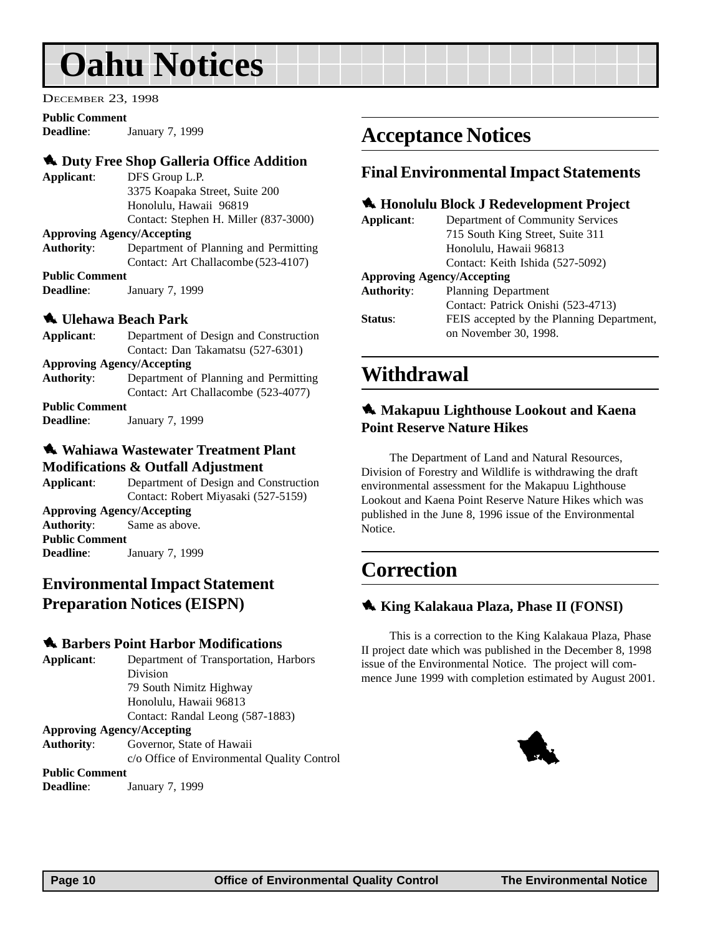<span id="page-9-0"></span>DECEMBER 23, 1998

#### **Public Comment**

**Deadline**: January 7, 1999

#### **1. Duty Free Shop Galleria Office Addition**

**Applicant**: DFS Group L.P. 3375 Koapaka Street, Suite 200 Honolulu, Hawaii 96819 Contact: Stephen H. Miller (837-3000)

#### **Approving Agency/Accepting**

**Authority**: Department of Planning and Permitting Contact: Art Challacombe (523-4107)

**Public Comment Deadline**: January 7, 1999

#### 1 **Ulehawa Beach Park**

| Applicant:                        | Department of Design and Construction |  |
|-----------------------------------|---------------------------------------|--|
|                                   | Contact: Dan Takamatsu (527-6301)     |  |
| <b>Approving Agency/Accepting</b> |                                       |  |
| <b>Authority:</b>                 | Department of Planning and Permitting |  |
|                                   | Contact: Art Challacombe (523-4077)   |  |
| <b>Public Comment</b>             |                                       |  |
| <b>Deadline:</b>                  | January 7, 1999                       |  |

#### 1 **Wahiawa Wastewater Treatment Plant Modifications & Outfall Adjustment**

**Applicant**: Department of Design and Construction Contact: Robert Miyasaki (527-5159) **Approving Agency/Accepting Authority**: Same as above. **Public Comment Deadline**: January 7, 1999

### **Environmental Impact Statement Preparation Notices (EISPN)**

#### $\triangle$  **Barbers Point Harbor Modifications**

**Applicant**: Department of Transportation, Harbors Division 79 South Nimitz Highway Honolulu, Hawaii 96813 Contact: Randal Leong (587-1883) **Approving Agency/Accepting Authority**: Governor, State of Hawaii

c/o Office of Environmental Quality Control

#### **Public Comment**

**Deadline**: January 7, 1999

## **Acceptance Notices**

#### **Final Environmental Impact Statements**

#### 1 **Honolulu Block J Redevelopment Project**

| Applicant:                        | Department of Community Services          |
|-----------------------------------|-------------------------------------------|
|                                   | 715 South King Street, Suite 311          |
|                                   | Honolulu, Hawaii 96813                    |
|                                   | Contact: Keith Ishida (527-5092)          |
| <b>Approving Agency/Accepting</b> |                                           |
| <b>Authority:</b>                 | Planning Department                       |
|                                   | Contact: Patrick Onishi (523-4713)        |
| Status:                           | FEIS accepted by the Planning Department, |
|                                   | on November 30, 1998.                     |
|                                   |                                           |

## **Withdrawal**

#### 1 **Makapuu Lighthouse Lookout and Kaena Point Reserve Nature Hikes**

The Department of Land and Natural Resources, Division of Forestry and Wildlife is withdrawing the draft environmental assessment for the Makapuu Lighthouse Lookout and Kaena Point Reserve Nature Hikes which was published in the June 8, 1996 issue of the Environmental Notice.

## **Correction**

#### 1 **King Kalakaua Plaza, Phase II (FONSI)**

This is a correction to the King Kalakaua Plaza, Phase II project date which was published in the December 8, 1998 issue of the Environmental Notice. The project will commence June 1999 with completion estimated by August 2001.

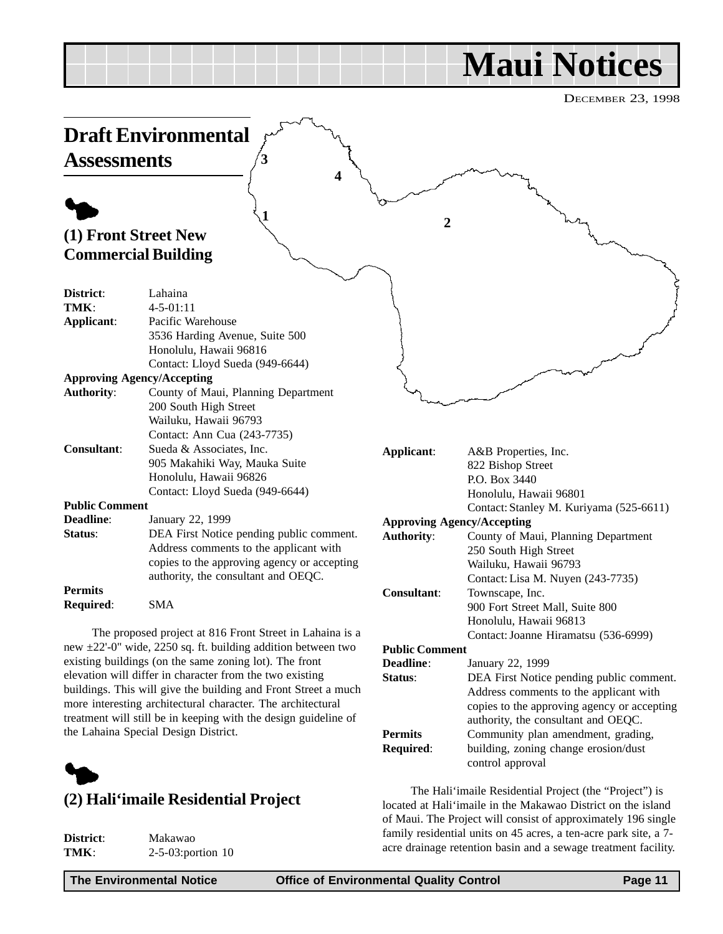# **Maui Notices**

DECEMBER 23, 1998

<span id="page-10-0"></span>

more interesting architectural character. The architectural treatment will still be in keeping with the design guideline of the Lahaina Special Design District.



### **(2) Hali'imaile Residential Project**

| District: |  |
|-----------|--|
| TMK:      |  |

**District**: Makawao **TMK**: 2-5-03:portion 10

copies to the approving agency or accepting authority, the consultant and OEQC.

**Permits** Community plan amendment, grading, **Required**: building, zoning change erosion/dust control approval

The Hali'imaile Residential Project (the "Project") is located at Hali'imaile in the Makawao District on the island of Maui. The Project will consist of approximately 196 single family residential units on 45 acres, a ten-acre park site, a 7 acre drainage retention basin and a sewage treatment facility.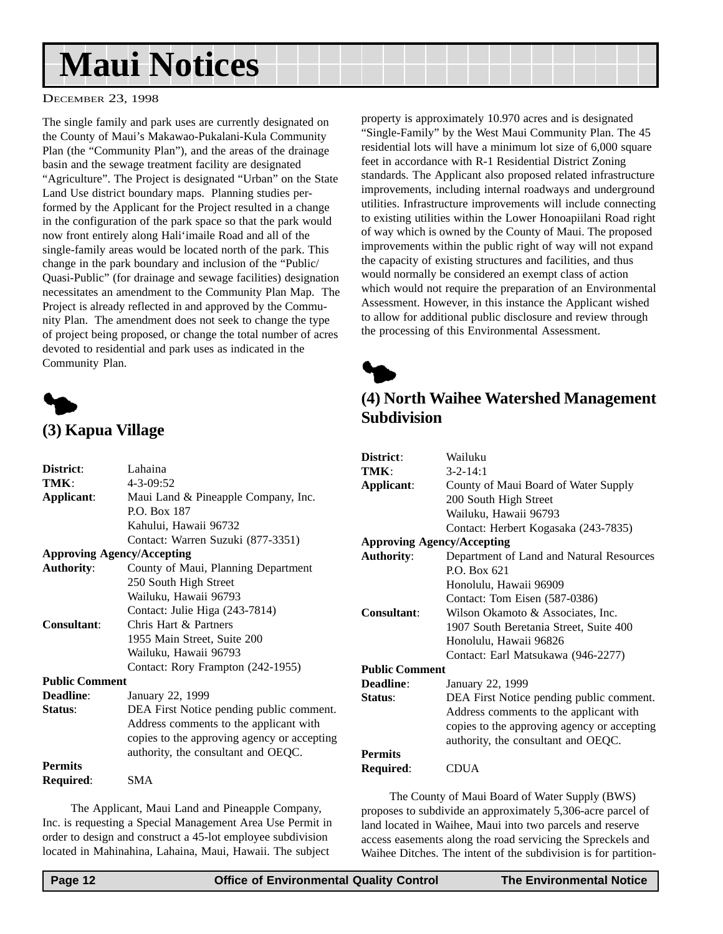# <span id="page-11-0"></span>**Maui Notices**

#### DECEMBER 23, 1998

The single family and park uses are currently designated on the County of Maui's Makawao-Pukalani-Kula Community Plan (the "Community Plan"), and the areas of the drainage basin and the sewage treatment facility are designated "Agriculture". The Project is designated "Urban" on the State Land Use district boundary maps. Planning studies performed by the Applicant for the Project resulted in a change in the configuration of the park space so that the park would now front entirely along Hali'imaile Road and all of the single-family areas would be located north of the park. This change in the park boundary and inclusion of the "Public/ Quasi-Public" (for drainage and sewage facilities) designation necessitates an amendment to the Community Plan Map. The Project is already reflected in and approved by the Community Plan. The amendment does not seek to change the type of project being proposed, or change the total number of acres devoted to residential and park uses as indicated in the Community Plan.



## **(3) Kapua Village**

| District:                         | Lahaina                                     |
|-----------------------------------|---------------------------------------------|
| TMK:                              | $4 - 3 - 09:52$                             |
| Applicant:                        | Maui Land & Pineapple Company, Inc.         |
|                                   | P.O. Box 187                                |
|                                   | Kahului, Hawaii 96732                       |
|                                   | Contact: Warren Suzuki (877-3351)           |
| <b>Approving Agency/Accepting</b> |                                             |
| <b>Authority:</b>                 | County of Maui, Planning Department         |
|                                   | 250 South High Street                       |
|                                   | Wailuku, Hawaii 96793                       |
|                                   | Contact: Julie Higa (243-7814)              |
| Consultant:                       | Chris Hart & Partners                       |
|                                   | 1955 Main Street, Suite 200                 |
|                                   | Wailuku, Hawaii 96793                       |
|                                   | Contact: Rory Frampton (242-1955)           |
| <b>Public Comment</b>             |                                             |
| <b>Deadline:</b>                  | January 22, 1999                            |
| Status:                           | DEA First Notice pending public comment.    |
|                                   | Address comments to the applicant with      |
|                                   | copies to the approving agency or accepting |
|                                   | authority, the consultant and OEQC.         |
| <b>Permits</b>                    |                                             |
| <b>Required:</b>                  | SMA                                         |
|                                   |                                             |

The Applicant, Maui Land and Pineapple Company, Inc. is requesting a Special Management Area Use Permit in order to design and construct a 45-lot employee subdivision located in Mahinahina, Lahaina, Maui, Hawaii. The subject

property is approximately 10.970 acres and is designated "Single-Family" by the West Maui Community Plan. The 45 residential lots will have a minimum lot size of 6,000 square feet in accordance with R-1 Residential District Zoning standards. The Applicant also proposed related infrastructure improvements, including internal roadways and underground utilities. Infrastructure improvements will include connecting to existing utilities within the Lower Honoapiilani Road right of way which is owned by the County of Maui. The proposed improvements within the public right of way will not expand the capacity of existing structures and facilities, and thus would normally be considered an exempt class of action which would not require the preparation of an Environmental Assessment. However, in this instance the Applicant wished to allow for additional public disclosure and review through the processing of this Environmental Assessment.



## **(4) North Waihee Watershed Management Subdivision**

| District:                         | Wailuku                                     |
|-----------------------------------|---------------------------------------------|
| TMK:                              | $3 - 2 - 14:1$                              |
| Applicant:                        | County of Maui Board of Water Supply        |
|                                   | 200 South High Street                       |
|                                   | Wailuku, Hawaii 96793                       |
|                                   | Contact: Herbert Kogasaka (243-7835)        |
| <b>Approving Agency/Accepting</b> |                                             |
| <b>Authority:</b>                 | Department of Land and Natural Resources    |
|                                   | P.O. Box 621                                |
|                                   | Honolulu, Hawaii 96909                      |
|                                   | Contact: Tom Eisen (587-0386)               |
| Consultant:                       | Wilson Okamoto & Associates, Inc.           |
|                                   | 1907 South Beretania Street, Suite 400      |
|                                   | Honolulu, Hawaii 96826                      |
|                                   | Contact: Earl Matsukawa (946-2277)          |
| <b>Public Comment</b>             |                                             |
| Deadline:                         | January 22, 1999                            |
| Status:                           | DEA First Notice pending public comment.    |
|                                   | Address comments to the applicant with      |
|                                   | copies to the approving agency or accepting |
|                                   | authority, the consultant and OEQC.         |
| <b>Permits</b>                    |                                             |
| Required:                         | CDUA                                        |

The County of Maui Board of Water Supply (BWS) proposes to subdivide an approximately 5,306-acre parcel of land located in Waihee, Maui into two parcels and reserve access easements along the road servicing the Spreckels and Waihee Ditches. The intent of the subdivision is for partition-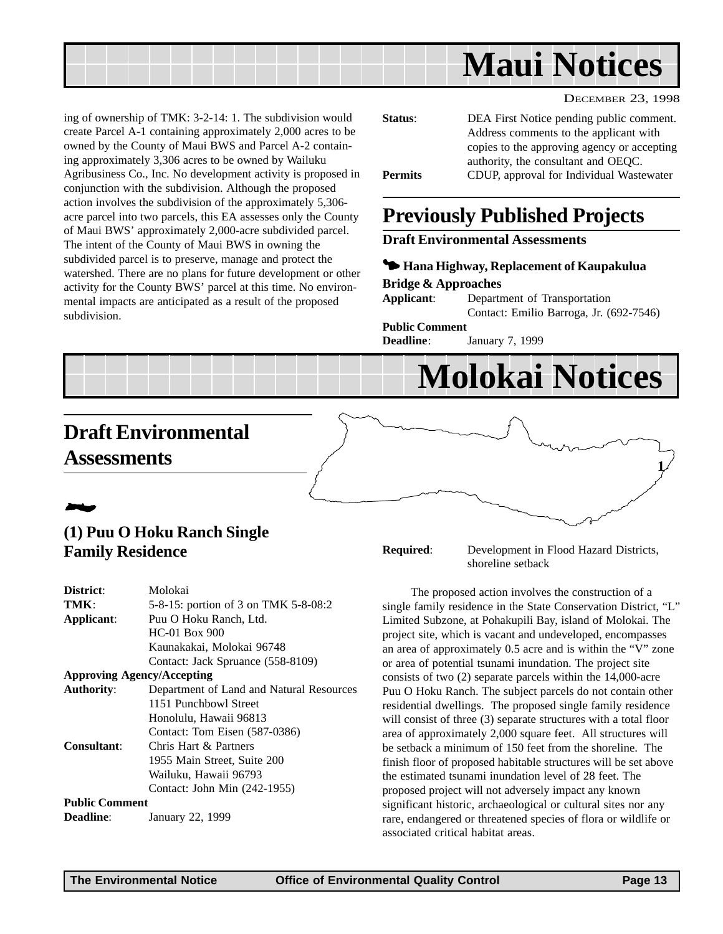<span id="page-12-0"></span>

DECEMBER 23, 1998

ing of ownership of TMK: 3-2-14: 1. The subdivision would create Parcel A-1 containing approximately 2,000 acres to be owned by the County of Maui BWS and Parcel A-2 containing approximately 3,306 acres to be owned by Wailuku Agribusiness Co., Inc. No development activity is proposed in conjunction with the subdivision. Although the proposed action involves the subdivision of the approximately 5,306 acre parcel into two parcels, this EA assesses only the County of Maui BWS' approximately 2,000-acre subdivided parcel. The intent of the County of Maui BWS in owning the subdivided parcel is to preserve, manage and protect the watershed. There are no plans for future development or other activity for the County BWS' parcel at this time. No environmental impacts are anticipated as a result of the proposed subdivision.

| Status:        | DEA First Notice pending public comment.<br>Address comments to the applicant with |
|----------------|------------------------------------------------------------------------------------|
|                | copies to the approving agency or accepting<br>authority, the consultant and OEQC. |
| <b>Permits</b> | CDUP, approval for Individual Wastewater                                           |

## **Previously Published Projects**

#### **Draft Environmental Assessments**

#### 3 **Hana Highway, Replacement of Kaupakulua Bridge & Approaches**

**Applicant**: Department of Transportation Contact: Emilio Barroga, Jr. (692-7546) **Public Comment**

**Deadline**: January 7, 1999

# **Molokai Notices**

## **Draft Environmental Assessments**

## 2

### **(1) Puu O Hoku Ranch Single Family Residence**

| District:                         | Molokai                                  |
|-----------------------------------|------------------------------------------|
| TMK:                              | 5-8-15: portion of 3 on TMK 5-8-08:2     |
| Applicant:                        | Puu O Hoku Ranch, Ltd.                   |
|                                   | $HC-01$ Box 900                          |
|                                   | Kaunakakai, Molokai 96748                |
|                                   | Contact: Jack Spruance (558-8109)        |
| <b>Approving Agency/Accepting</b> |                                          |
| <b>Authority:</b>                 | Department of Land and Natural Resources |
|                                   | 1151 Punchbowl Street                    |
|                                   | Honolulu, Hawaii 96813                   |
|                                   | Contact: Tom Eisen (587-0386)            |
| Consultant:                       | Chris Hart & Partners                    |
|                                   | 1955 Main Street, Suite 200              |
|                                   | Wailuku, Hawaii 96793                    |
|                                   | Contact: John Min (242-1955)             |
| <b>Public Comment</b>             |                                          |
| <b>Deadline:</b>                  | January 22, 1999                         |

**Required**: Development in Flood Hazard Districts, shoreline setback

The proposed action involves the construction of a single family residence in the State Conservation District, "L" Limited Subzone, at Pohakupili Bay, island of Molokai. The project site, which is vacant and undeveloped, encompasses an area of approximately 0.5 acre and is within the "V" zone or area of potential tsunami inundation. The project site consists of two (2) separate parcels within the 14,000-acre Puu O Hoku Ranch. The subject parcels do not contain other residential dwellings. The proposed single family residence will consist of three (3) separate structures with a total floor area of approximately 2,000 square feet. All structures will be setback a minimum of 150 feet from the shoreline. The finish floor of proposed habitable structures will be set above the estimated tsunami inundation level of 28 feet. The proposed project will not adversely impact any known significant historic, archaeological or cultural sites nor any rare, endangered or threatened species of flora or wildlife or associated critical habitat areas.

**1**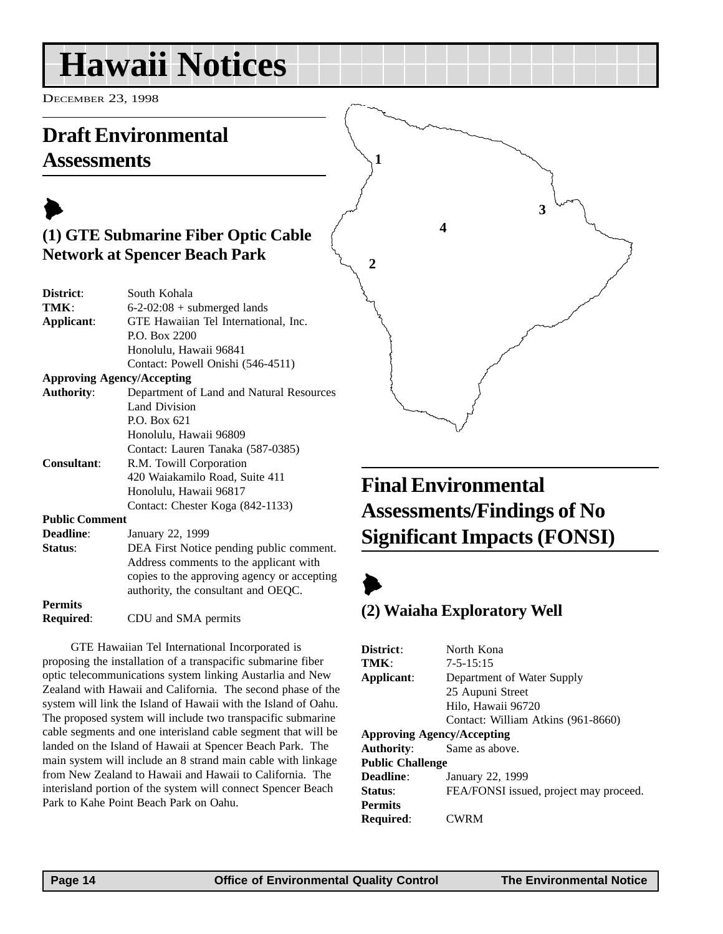# <span id="page-13-0"></span>**Hawaii Notices**

authority, the consultant and OEQC.

**Required**: CDU and SMA permits

DECEMBER 23, 1998

## **Draft Environmental Assessments**



**(2) Waiaha Exploratory Well**

| GTE Hawaiian Tel International Incorporated is<br>proposing the installation of a transpacific submarine fiber<br>optic telecommunications system linking Austarlia and New<br>Zealand with Hawaii and California. The second phase of the<br>system will link the Island of Hawaii with the Island of Oahu.<br>The proposed system will include two transpacific submarine<br>cable segments and one interisland cable segment that will be<br>landed on the Island of Hawaii at Spencer Beach Park. The<br>main system will include an 8 strand main cable with linkage<br>from New Zealand to Hawaii and Hawaii to California. The<br>interisland portion of the system will connect Spencer Beach<br>Park to Kahe Point Beach Park on Oahu. | District:<br>TMK:<br>Applicant:<br><b>Authority:</b><br><b>Public Challenge</b><br>Deadline:<br>Status:<br><b>Permits</b><br><b>Required:</b> | North Kona<br>$7 - 5 - 15:15$<br>Department of Water Supply<br>25 Aupuni Street<br>Hilo, Hawaii 96720<br>Contact: William Atkins (961-8660)<br><b>Approving Agency/Accepting</b><br>Same as above.<br>January 22, 1999<br>FEA/FONSI issued, project may pro<br><b>CWRM</b> |
|-------------------------------------------------------------------------------------------------------------------------------------------------------------------------------------------------------------------------------------------------------------------------------------------------------------------------------------------------------------------------------------------------------------------------------------------------------------------------------------------------------------------------------------------------------------------------------------------------------------------------------------------------------------------------------------------------------------------------------------------------|-----------------------------------------------------------------------------------------------------------------------------------------------|----------------------------------------------------------------------------------------------------------------------------------------------------------------------------------------------------------------------------------------------------------------------------|
|-------------------------------------------------------------------------------------------------------------------------------------------------------------------------------------------------------------------------------------------------------------------------------------------------------------------------------------------------------------------------------------------------------------------------------------------------------------------------------------------------------------------------------------------------------------------------------------------------------------------------------------------------------------------------------------------------------------------------------------------------|-----------------------------------------------------------------------------------------------------------------------------------------------|----------------------------------------------------------------------------------------------------------------------------------------------------------------------------------------------------------------------------------------------------------------------------|

**Permits**

proceed.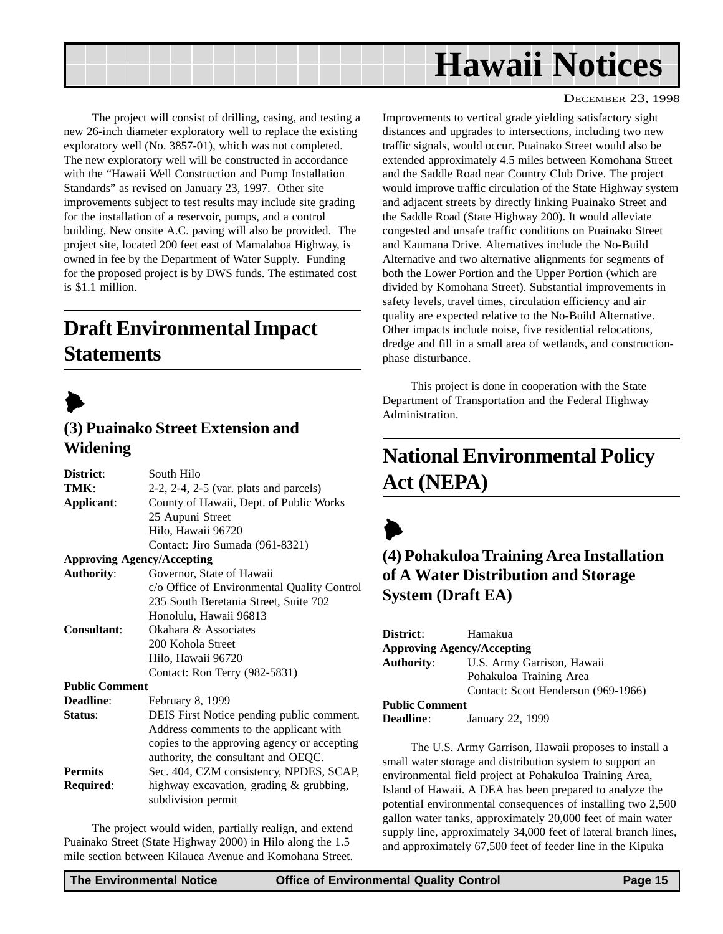<span id="page-14-0"></span>

The project will consist of drilling, casing, and testing a new 26-inch diameter exploratory well to replace the existing exploratory well (No. 3857-01), which was not completed. The new exploratory well will be constructed in accordance with the "Hawaii Well Construction and Pump Installation Standards" as revised on January 23, 1997. Other site improvements subject to test results may include site grading for the installation of a reservoir, pumps, and a control building. New onsite A.C. paving will also be provided. The project site, located 200 feet east of Mamalahoa Highway, is owned in fee by the Department of Water Supply. Funding for the proposed project is by DWS funds. The estimated cost is \$1.1 million.

## **Draft Environmental Impact Statements**



### **(3) Puainako Street Extension and Widening**

| District:             | South Hilo                                     |
|-----------------------|------------------------------------------------|
| TMK:                  | $2-2$ , $2-4$ , $2-5$ (var. plats and parcels) |
| Applicant:            | County of Hawaii, Dept. of Public Works        |
|                       | 25 Aupuni Street                               |
|                       | Hilo, Hawaii 96720                             |
|                       | Contact: Jiro Sumada (961-8321)                |
|                       | <b>Approving Agency/Accepting</b>              |
| <b>Authority:</b>     | Governor, State of Hawaii                      |
|                       | c/o Office of Environmental Quality Control    |
|                       | 235 South Beretania Street, Suite 702          |
|                       | Honolulu, Hawaii 96813                         |
| <b>Consultant:</b>    | Okahara & Associates                           |
|                       | 200 Kohola Street                              |
|                       | Hilo, Hawaii 96720                             |
|                       | Contact: Ron Terry (982-5831)                  |
| <b>Public Comment</b> |                                                |
| <b>Deadline:</b>      | February 8, 1999                               |
| Status:               | DEIS First Notice pending public comment.      |
|                       | Address comments to the applicant with         |
|                       | copies to the approving agency or accepting    |
|                       | authority, the consultant and OEQC.            |
| <b>Permits</b>        | Sec. 404, CZM consistency, NPDES, SCAP,        |
| Required:             | highway excavation, grading & grubbing,        |
|                       | subdivision permit                             |

The project would widen, partially realign, and extend Puainako Street (State Highway 2000) in Hilo along the 1.5 mile section between Kilauea Avenue and Komohana Street.

#### DECEMBER 23, 1998

Improvements to vertical grade yielding satisfactory sight distances and upgrades to intersections, including two new traffic signals, would occur. Puainako Street would also be extended approximately 4.5 miles between Komohana Street and the Saddle Road near Country Club Drive. The project would improve traffic circulation of the State Highway system and adjacent streets by directly linking Puainako Street and the Saddle Road (State Highway 200). It would alleviate congested and unsafe traffic conditions on Puainako Street and Kaumana Drive. Alternatives include the No-Build Alternative and two alternative alignments for segments of both the Lower Portion and the Upper Portion (which are divided by Komohana Street). Substantial improvements in safety levels, travel times, circulation efficiency and air quality are expected relative to the No-Build Alternative. Other impacts include noise, five residential relocations, dredge and fill in a small area of wetlands, and constructionphase disturbance.

This project is done in cooperation with the State Department of Transportation and the Federal Highway Administration.

## **National Environmental Policy Act (NEPA)**

## $\blacktriangleright$ **(4) Pohakuloa Training Area Installation of A Water Distribution and Storage System (Draft EA)**

| District:                         | Hamakua                             |  |
|-----------------------------------|-------------------------------------|--|
| <b>Approving Agency/Accepting</b> |                                     |  |
| <b>Authority:</b>                 | U.S. Army Garrison, Hawaii          |  |
|                                   | Pohakuloa Training Area             |  |
|                                   | Contact: Scott Henderson (969-1966) |  |
| <b>Public Comment</b>             |                                     |  |
| <b>Deadline:</b>                  | January 22, 1999                    |  |

The U.S. Army Garrison, Hawaii proposes to install a small water storage and distribution system to support an environmental field project at Pohakuloa Training Area, Island of Hawaii. A DEA has been prepared to analyze the potential environmental consequences of installing two 2,500 gallon water tanks, approximately 20,000 feet of main water supply line, approximately 34,000 feet of lateral branch lines, and approximately 67,500 feet of feeder line in the Kipuka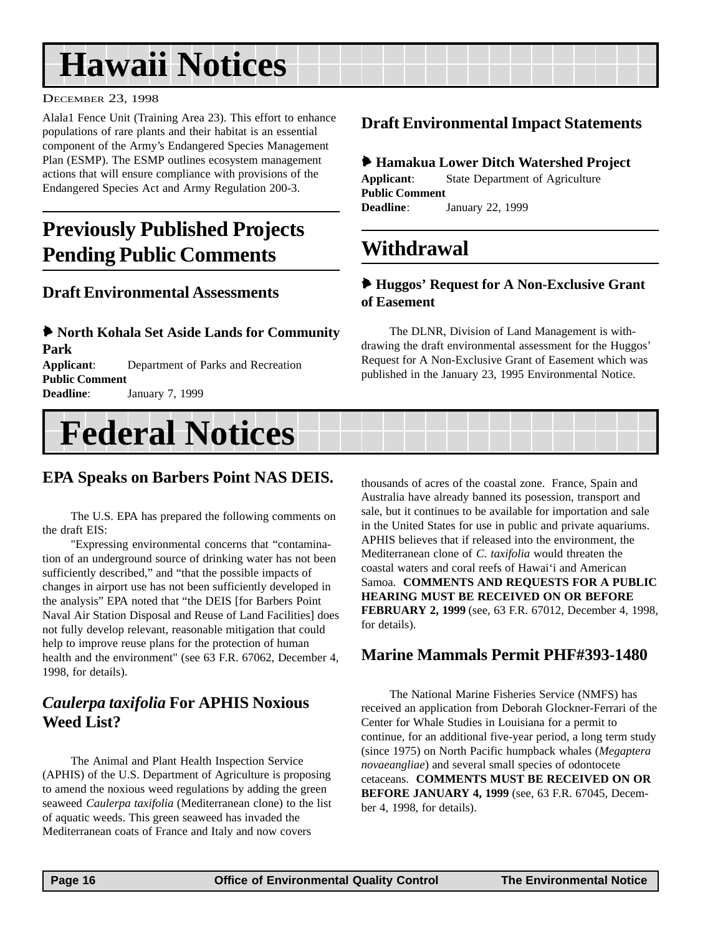# <span id="page-15-0"></span>**Hawaii Notices**

#### DECEMBER 23, 1998

Alala1 Fence Unit (Training Area 23). This effort to enhance populations of rare plants and their habitat is an essential component of the Army's Endangered Species Management Plan (ESMP). The ESMP outlines ecosystem management actions that will ensure compliance with provisions of the Endangered Species Act and Army Regulation 200-3.

## **Previously Published Projects Pending Public Comments**

### **Draft Environmental Assessments**

#### 6 **North Kohala Set Aside Lands for Community Park Applicant**: Department of Parks and Recreation **Public Comment**

**Deadline**: January 7, 1999

### **Draft Environmental Impact Statements**

#### 6 **Hamakua Lower Ditch Watershed Project**

**Applicant**: State Department of Agriculture **Public Comment Deadline**: January 22, 1999

## **Withdrawal**

#### 6 **Huggos' Request for A Non-Exclusive Grant of Easement**

The DLNR, Division of Land Management is withdrawing the draft environmental assessment for the Huggos' Request for A Non-Exclusive Grant of Easement which was published in the January 23, 1995 Environmental Notice.

# **Federal Notices**

### **EPA Speaks on Barbers Point NAS DEIS.**

The U.S. EPA has prepared the following comments on the draft EIS:

"Expressing environmental concerns that "contamination of an underground source of drinking water has not been sufficiently described," and "that the possible impacts of changes in airport use has not been sufficiently developed in the analysis" EPA noted that "the DEIS [for Barbers Point Naval Air Station Disposal and Reuse of Land Facilities] does not fully develop relevant, reasonable mitigation that could help to improve reuse plans for the protection of human health and the environment" (see 63 F.R. 67062, December 4, 1998, for details).

## *Caulerpa taxifolia* **For APHIS Noxious Weed List?**

The Animal and Plant Health Inspection Service (APHIS) of the U.S. Department of Agriculture is proposing to amend the noxious weed regulations by adding the green seaweed *Caulerpa taxifolia* (Mediterranean clone) to the list of aquatic weeds. This green seaweed has invaded the Mediterranean coats of France and Italy and now covers

thousands of acres of the coastal zone. France, Spain and Australia have already banned its posession, transport and sale, but it continues to be available for importation and sale in the United States for use in public and private aquariums. APHIS believes that if released into the environment, the Mediterranean clone of *C. taxifolia* would threaten the coastal waters and coral reefs of Hawai'i and American Samoa. **COMMENTS AND REQUESTS FOR A PUBLIC HEARING MUST BE RECEIVED ON OR BEFORE FEBRUARY 2, 1999** (see, 63 F.R. 67012, December 4, 1998, for details).

### **Marine Mammals Permit PHF#393-1480**

The National Marine Fisheries Service (NMFS) has received an application from Deborah Glockner-Ferrari of the Center for Whale Studies in Louisiana for a permit to continue, for an additional five-year period, a long term study (since 1975) on North Pacific humpback whales (*Megaptera novaeangliae*) and several small species of odontocete cetaceans. **COMMENTS MUST BE RECEIVED ON OR BEFORE JANUARY 4, 1999** (see, 63 F.R. 67045, December 4, 1998, for details).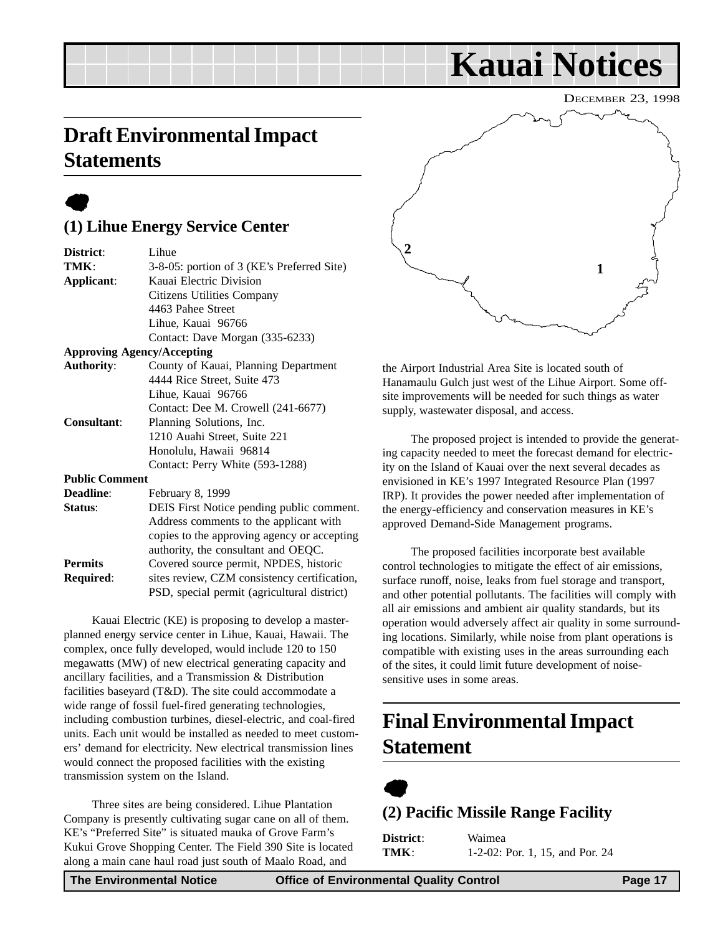## <span id="page-16-0"></span>**Draft Environmental Impact Statements**

## $\bullet$

## **(1) Lihue Energy Service Center**

| District:             | Lihue                                       |
|-----------------------|---------------------------------------------|
| TMK:                  | 3-8-05: portion of 3 (KE's Preferred Site)  |
| Applicant:            | Kauai Electric Division                     |
|                       | Citizens Utilities Company                  |
|                       | 4463 Pahee Street                           |
|                       | Lihue, Kauai 96766                          |
|                       | Contact: Dave Morgan (335-6233)             |
|                       | <b>Approving Agency/Accepting</b>           |
| <b>Authority:</b>     | County of Kauai, Planning Department        |
|                       | 4444 Rice Street, Suite 473                 |
|                       | Lihue, Kauai 96766                          |
|                       | Contact: Dee M. Crowell (241-6677)          |
| <b>Consultant:</b>    | Planning Solutions, Inc.                    |
|                       | 1210 Auahi Street, Suite 221                |
|                       | Honolulu, Hawaii 96814                      |
|                       | Contact: Perry White (593-1288)             |
| <b>Public Comment</b> |                                             |
| <b>Deadline:</b>      | February 8, 1999                            |
| Status:               | DEIS First Notice pending public comment.   |
|                       | Address comments to the applicant with      |
|                       | copies to the approving agency or accepting |
|                       | authority, the consultant and OEOC.         |

**Permits** Covered source permit, NPDES, historic **Required:** sites review, CZM consistency certification, PSD, special permit (agricultural district)

Kauai Electric (KE) is proposing to develop a masterplanned energy service center in Lihue, Kauai, Hawaii. The complex, once fully developed, would include 120 to 150 megawatts (MW) of new electrical generating capacity and ancillary facilities, and a Transmission & Distribution facilities baseyard (T&D). The site could accommodate a wide range of fossil fuel-fired generating technologies, including combustion turbines, diesel-electric, and coal-fired units. Each unit would be installed as needed to meet customers' demand for electricity. New electrical transmission lines would connect the proposed facilities with the existing transmission system on the Island.

Three sites are being considered. Lihue Plantation Company is presently cultivating sugar cane on all of them. KE's "Preferred Site" is situated mauka of Grove Farm's Kukui Grove Shopping Center. The Field 390 Site is located along a main cane haul road just south of Maalo Road, and



**Kauai Notices**

the Airport Industrial Area Site is located south of Hanamaulu Gulch just west of the Lihue Airport. Some offsite improvements will be needed for such things as water supply, wastewater disposal, and access.

The proposed project is intended to provide the generating capacity needed to meet the forecast demand for electricity on the Island of Kauai over the next several decades as envisioned in KE's 1997 Integrated Resource Plan (1997 IRP). It provides the power needed after implementation of the energy-efficiency and conservation measures in KE's approved Demand-Side Management programs.

The proposed facilities incorporate best available control technologies to mitigate the effect of air emissions, surface runoff, noise, leaks from fuel storage and transport, and other potential pollutants. The facilities will comply with all air emissions and ambient air quality standards, but its operation would adversely affect air quality in some surrounding locations. Similarly, while noise from plant operations is compatible with existing uses in the areas surrounding each of the sites, it could limit future development of noisesensitive uses in some areas.

## **Final Environmental Impact Statement**



## **(2) Pacific Missile Range Facility**

**District**: Waimea **TMK**: 1-2-02: Por. 1, 15, and Por. 24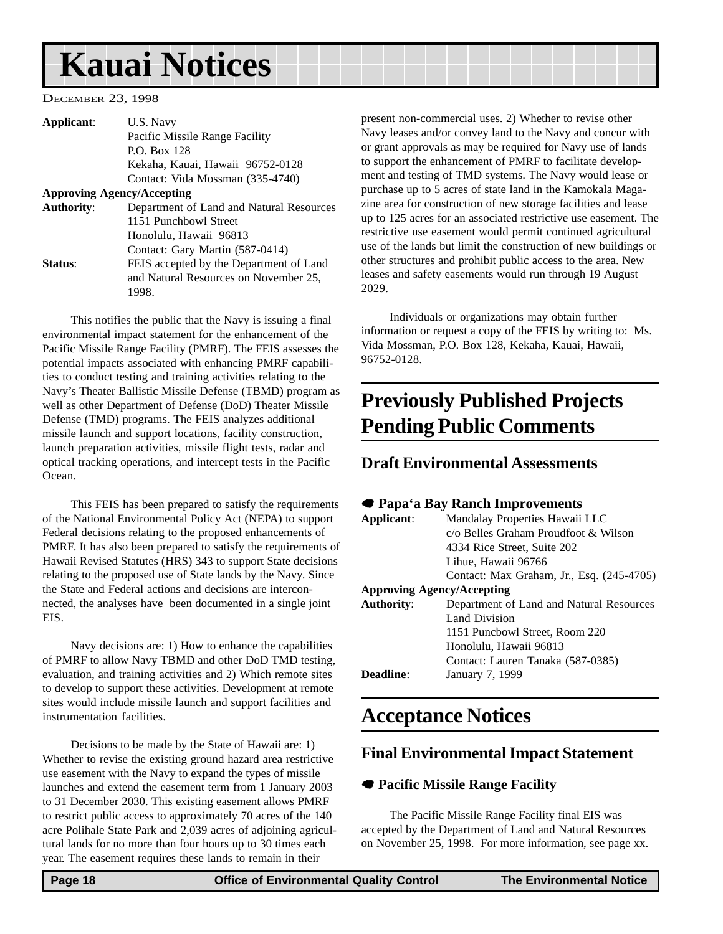# <span id="page-17-0"></span>**Kauai Notices**

#### DECEMBER 23, 1998

| Applicant:        | U.S. Navy                                |
|-------------------|------------------------------------------|
|                   | Pacific Missile Range Facility           |
|                   | P.O. Box 128                             |
|                   | Kekaha, Kauai, Hawaii 96752-0128         |
|                   | Contact: Vida Mossman (335-4740)         |
|                   | <b>Approving Agency/Accepting</b>        |
| <b>Authority:</b> | Department of Land and Natural Resources |
|                   | 1151 Punchbowl Street                    |
|                   | Honolulu, Hawaii 96813                   |
|                   | Contact: Gary Martin (587-0414)          |
| Status:           | FEIS accepted by the Department of Land  |
|                   | and Natural Resources on November 25,    |
|                   | 1998.                                    |
|                   |                                          |

This notifies the public that the Navy is issuing a final environmental impact statement for the enhancement of the Pacific Missile Range Facility (PMRF). The FEIS assesses the potential impacts associated with enhancing PMRF capabilities to conduct testing and training activities relating to the Navy's Theater Ballistic Missile Defense (TBMD) program as well as other Department of Defense (DoD) Theater Missile Defense (TMD) programs. The FEIS analyzes additional missile launch and support locations, facility construction, launch preparation activities, missile flight tests, radar and optical tracking operations, and intercept tests in the Pacific Ocean.

This FEIS has been prepared to satisfy the requirements of the National Environmental Policy Act (NEPA) to support Federal decisions relating to the proposed enhancements of PMRF. It has also been prepared to satisfy the requirements of Hawaii Revised Statutes (HRS) 343 to support State decisions relating to the proposed use of State lands by the Navy. Since the State and Federal actions and decisions are interconnected, the analyses have been documented in a single joint EIS.

Navy decisions are: 1) How to enhance the capabilities of PMRF to allow Navy TBMD and other DoD TMD testing, evaluation, and training activities and 2) Which remote sites to develop to support these activities. Development at remote sites would include missile launch and support facilities and instrumentation facilities.

Decisions to be made by the State of Hawaii are: 1) Whether to revise the existing ground hazard area restrictive use easement with the Navy to expand the types of missile launches and extend the easement term from 1 January 2003 to 31 December 2030. This existing easement allows PMRF to restrict public access to approximately 70 acres of the 140 acre Polihale State Park and 2,039 acres of adjoining agricultural lands for no more than four hours up to 30 times each year. The easement requires these lands to remain in their

present non-commercial uses. 2) Whether to revise other Navy leases and/or convey land to the Navy and concur with or grant approvals as may be required for Navy use of lands to support the enhancement of PMRF to facilitate development and testing of TMD systems. The Navy would lease or purchase up to 5 acres of state land in the Kamokala Magazine area for construction of new storage facilities and lease up to 125 acres for an associated restrictive use easement. The restrictive use easement would permit continued agricultural use of the lands but limit the construction of new buildings or other structures and prohibit public access to the area. New leases and safety easements would run through 19 August 2029.

Individuals or organizations may obtain further information or request a copy of the FEIS by writing to: Ms. Vida Mossman, P.O. Box 128, Kekaha, Kauai, Hawaii, 96752-0128.

## **Previously Published Projects Pending Public Comments**

#### **Draft Environmental Assessments**

#### 7 **Papa'a Bay Ranch Improvements**

| Mandalay Properties Hawaii LLC            |
|-------------------------------------------|
| c/o Belles Graham Proudfoot & Wilson      |
| 4334 Rice Street, Suite 202               |
| Lihue, Hawaii 96766                       |
| Contact: Max Graham, Jr., Esq. (245-4705) |
| <b>Approving Agency/Accepting</b>         |
| Department of Land and Natural Resources  |
| <b>Land Division</b>                      |
| 1151 Puncbowl Street, Room 220            |
| Honolulu, Hawaii 96813                    |
| Contact: Lauren Tanaka (587-0385)         |
| January 7, 1999                           |
|                                           |

## **Acceptance Notices**

#### **Final Environmental Impact Statement**

#### 7 **Pacific Missile Range Facility**

The Pacific Missile Range Facility final EIS was accepted by the Department of Land and Natural Resources on November 25, 1998. For more information, see page xx.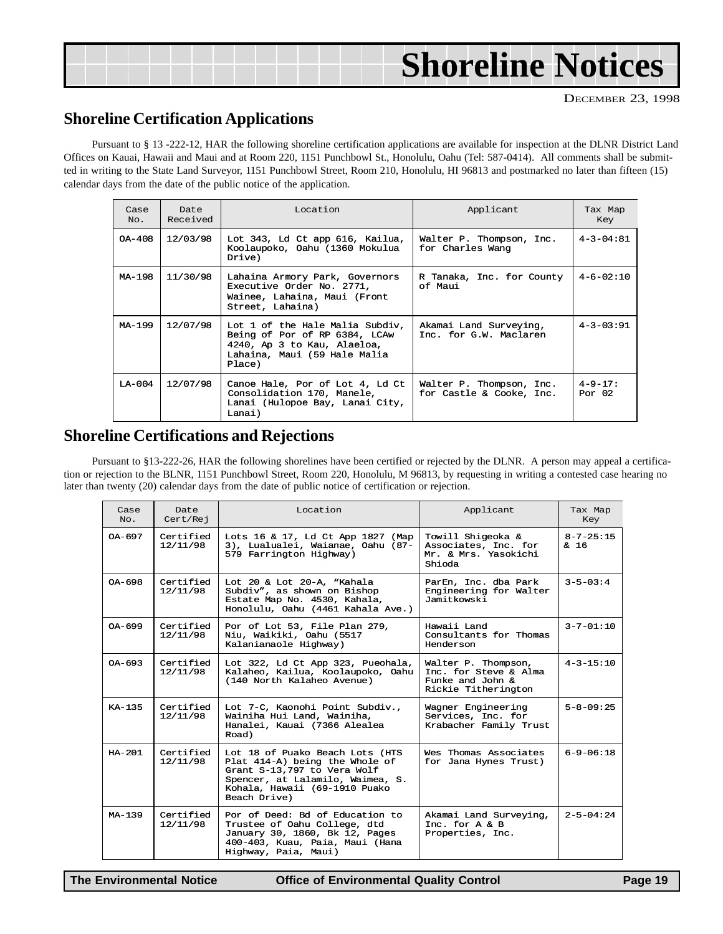# **Shoreline Notices**

DECEMBER 23, 1998

### **Shoreline Certification Applications**

Pursuant to § 13 -222-12, HAR the following shoreline certification applications are available for inspection at the DLNR District Land Offices on Kauai, Hawaii and Maui and at Room 220, 1151 Punchbowl St., Honolulu, Oahu (Tel: 587-0414). All comments shall be submitted in writing to the State Land Surveyor, 1151 Punchbowl Street, Room 210, Honolulu, HI 96813 and postmarked no later than fifteen (15) calendar days from the date of the public notice of the application.

| Case<br>No. | Date<br>Received | Location                                                                                                                                  | Applicant                                            | Tax Map<br>Key             |
|-------------|------------------|-------------------------------------------------------------------------------------------------------------------------------------------|------------------------------------------------------|----------------------------|
| OA-408      | 12/03/98         | Lot 343, Ld Ct app 616, Kailua,<br>Koolaupoko, Oahu (1360 Mokulua<br>Drive)                                                               | Walter P. Thompson, Inc.<br>for Charles Wang         | $4 - 3 - 04:81$            |
| MA-198      | 11/30/98         | Lahaina Armory Park, Governors<br>Executive Order No. 2771,<br>Wainee, Lahaina, Maui (Front<br>Street, Lahaina)                           | R Tanaka, Inc. for County<br>of Maui                 | $4 - 6 - 02:10$            |
| MA-199      | 12/07/98         | Lot 1 of the Hale Malia Subdiv,<br>Being of Por of RP 6384, LCAw<br>4240, Ap 3 to Kau, Alaeloa,<br>Lahaina, Maui (59 Hale Malia<br>Place) | Akamai Land Surveying,<br>Inc. for G.W. Maclaren     | $4 - 3 - 03:91$            |
| $LA-004$    | 12/07/98         | Canoe Hale, Por of Lot 4, Ld Ct<br>Consolidation 170, Manele,<br>Lanai (Hulopoe Bay, Lanai City,<br>Lanai)                                | Walter P. Thompson, Inc.<br>for Castle & Cooke, Inc. | $4 - 9 - 17$ :<br>Por $02$ |

### **Shoreline Certifications and Rejections**

Pursuant to §13-222-26, HAR the following shorelines have been certified or rejected by the DLNR. A person may appeal a certification or rejection to the BLNR, 1151 Punchbowl Street, Room 220, Honolulu, M 96813, by requesting in writing a contested case hearing no later than twenty (20) calendar days from the date of public notice of certification or rejection.

| Case<br>No. | Date.<br>Cert/Rej     | Location                                                                                                                                                                              | Applicant                                                                               | Tax Map<br>Key          |
|-------------|-----------------------|---------------------------------------------------------------------------------------------------------------------------------------------------------------------------------------|-----------------------------------------------------------------------------------------|-------------------------|
| OA-697      | Certified<br>12/11/98 | Lots 16 & 17, Ld Ct App 1827 (Map<br>3), Lualualei, Waianae, Oahu (87-<br>579 Farrington Highway)                                                                                     | Towill Shigeoka &<br>Associates, Inc. for<br>Mr. & Mrs. Yasokichi<br>Shioda             | $8 - 7 - 25:15$<br>& 16 |
| $0A-698$    | Certified<br>12/11/98 | Lot 20 & Lot 20-A, "Kahala<br>Subdiv", as shown on Bishop<br>Estate Map No. 4530, Kahala,<br>Honolulu, Oahu (4461 Kahala Ave.)                                                        | ParEn, Inc. dba Park<br>Engineering for Walter<br>Jamitkowski                           | $3 - 5 - 03:4$          |
| OA-699      | Certified<br>12/11/98 | Por of Lot 53, File Plan 279,<br>Niu, Waikiki, Oahu (5517<br>Kalanianaole Highway)                                                                                                    | Hawaii Land<br>Consultants for Thomas<br>Henderson                                      | $3 - 7 - 01:10$         |
| $0A-693$    | Certified<br>12/11/98 | Lot 322, Ld Ct App 323, Pueohala,<br>Kalaheo, Kailua, Koolaupoko, Oahu<br>(140 North Kalaheo Avenue)                                                                                  | Walter P. Thompson,<br>Inc. for Steve & Alma<br>Funke and John &<br>Rickie Titherington | $4 - 3 - 15:10$         |
| $K_A - 135$ | Certified<br>12/11/98 | Lot 7-C, Kaonohi Point Subdiv.,<br>Wainiha Hui Land, Wainiha,<br>Hanalei, Kauai (7366 Alealea<br>Road)                                                                                | Wagner Engineering<br>Services, Inc. for<br>Krabacher Family Trust                      | $5 - 8 - 09:25$         |
| $HA - 201$  | Certified<br>12/11/98 | Lot 18 of Puako Beach Lots (HTS<br>Plat 414-A) being the Whole of<br>Grant S-13,797 to Vera Wolf<br>Spencer, at Lalamilo, Waimea, S.<br>Kohala, Hawaii (69-1910 Puako<br>Beach Drive) | Wes Thomas Associates<br>for Jana Hynes Trust)                                          | $6 - 9 - 06:18$         |
| $MA-139$    | Certified<br>12/11/98 | Por of Deed: Bd of Education to<br>Trustee of Oahu College, dtd<br>January 30, 1860, Bk 12, Pages<br>400-403, Kuau, Paia, Maui (Hana<br>Highway, Paia, Maui)                          | Akamai Land Surveying,<br>Inc. for $A & B$<br>Properties, Inc.                          | $2 - 5 - 04:24$         |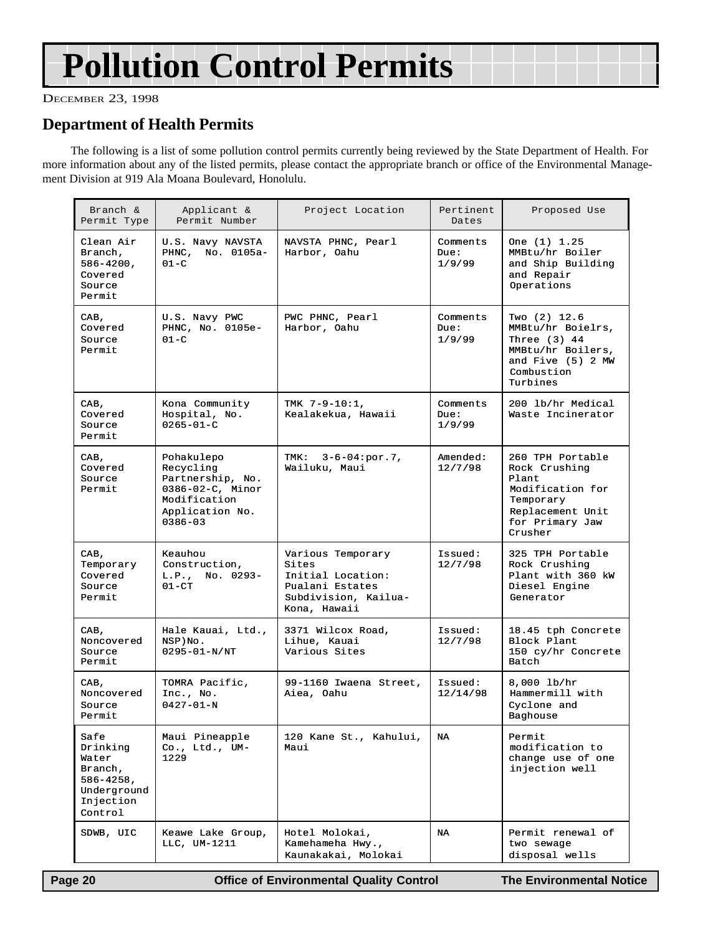# **Pollution Control Permits**

DECEMBER 23, 1998

## **Department of Health Permits**

The following is a list of some pollution control permits currently being reviewed by the State Department of Health. For more information about any of the listed permits, please contact the appropriate branch or office of the Environmental Management Division at 919 Ala Moana Boulevard, Honolulu.

| Branch &<br>Permit Type                                                                       | Applicant &<br>Permit Number                                                                                             | Project Location                                                                                           | Pertinent<br>Dates         | Proposed Use                                                                                                                   |
|-----------------------------------------------------------------------------------------------|--------------------------------------------------------------------------------------------------------------------------|------------------------------------------------------------------------------------------------------------|----------------------------|--------------------------------------------------------------------------------------------------------------------------------|
| Clean Air<br>Branch,<br>586-4200,<br>Covered<br>Source<br>Permit                              | U.S. Navy NAVSTA<br>PHNC, No. 0105a-<br>$01 - C$                                                                         | NAVSTA PHNC, Pearl<br>Harbor, Oahu                                                                         | Comments<br>Due:<br>1/9/99 | One (1) 1.25<br>MMBtu/hr Boiler<br>and Ship Building<br>and Repair<br>Operations                                               |
| CAB,<br>Covered<br>Source<br>Permit                                                           | U.S. Navy PWC<br>PHNC, No. 0105e-<br>$01-C$                                                                              | PWC PHNC, Pearl<br>Harbor, Oahu                                                                            | Comments<br>Due:<br>1/9/99 | Two (2) 12.6<br>MMBtu/hr Boielrs,<br>Three $(3)$ 44<br>MMBtu/hr Boilers,<br>and Five (5) 2 MW<br>Combustion<br>Turbines        |
| CAB,<br>Covered<br>Source<br>Permit                                                           | Kona Community<br>Hospital, No.<br>$0265 - 01 - C$                                                                       | TMK $7-9-10:1$ ,<br>Kealakekua, Hawaii                                                                     | Comments<br>Due:<br>1/9/99 | 200 lb/hr Medical<br>Waste Incinerator                                                                                         |
| CAB,<br>Covered<br>Source<br>Permit                                                           | Pohakulepo<br>Recycling<br>Partnership, No.<br>$0386 - 02 - C$ , Minor<br>Modification<br>Application No.<br>$0386 - 03$ | $3-6-04: por.7,$<br>TMK:<br>Wailuku, Maui                                                                  | Amended:<br>12/7/98        | 260 TPH Portable<br>Rock Crushing<br>Plant.<br>Modification for<br>Temporary<br>Replacement Unit<br>for Primary Jaw<br>Crusher |
| CAB,<br>Temporary<br>Covered<br>Source<br>Permit                                              | Keauhou<br>Construction,<br>L.P., No. 0293-<br>$01 - CT$                                                                 | Various Temporary<br>Sites<br>Initial Location:<br>Pualani Estates<br>Subdivision, Kailua-<br>Kona, Hawaii | Issued:<br>12/7/98         | 325 TPH Portable<br>Rock Crushing<br>Plant with 360 kW<br>Diesel Engine<br>Generator                                           |
| CAB,<br>Noncovered<br>Source<br>Permit                                                        | Hale Kauai, Ltd.,<br>NSP) No.<br>$0295 - 01 - N/NT$                                                                      | 3371 Wilcox Road,<br>Lihue, Kauai<br>Various Sites                                                         | Issued:<br>12/7/98         | 18.45 tph Concrete<br>Block Plant<br>150 cy/hr Concrete<br>Batch                                                               |
| CAB,<br>Noncovered<br>Source<br>Permit                                                        | TOMRA Pacific,<br>Inc., No.<br>$0427 - 01 - N$                                                                           | 99-1160 Iwaena Street,<br>Aiea, Oahu                                                                       | Issued:<br>12/14/98        | $8,000$ lb/hr<br>Hammermill with<br>Cyclone and<br>Baghouse                                                                    |
| Safe<br>Drinking<br>Water<br>Branch,<br>$586 - 4258$ ,<br>Underground<br>Injection<br>Control | Maui Pineapple<br>$Co.$ , Ltd., UM-<br>1229                                                                              | 120 Kane St., Kahului,<br>Maui                                                                             | NA                         | Permit<br>modification to<br>change use of one<br>injection well                                                               |
| SDWB, UIC                                                                                     | Keawe Lake Group,<br>LLC, UM-1211                                                                                        | Hotel Molokai,<br>Kamehameha Hwy.,<br>Kaunakakai, Molokai                                                  | NA                         | Permit renewal of<br>two sewage<br>disposal wells                                                                              |

 **Page 20 Office of Environmental Quality Control The Environmental Notice**